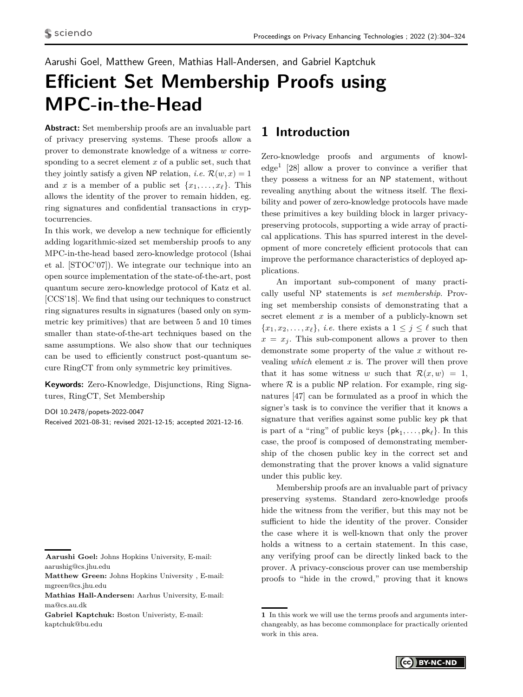<span id="page-0-0"></span>Aarushi Goel, Matthew Green, Mathias Hall-Andersen, and Gabriel Kaptchuk

# **Efficient Set Membership Proofs using MPC-in-the-Head**

**Abstract:** Set membership proofs are an invaluable part of privacy preserving systems. These proofs allow a prover to demonstrate knowledge of a witness *w* corresponding to a secret element *x* of a public set, such that they jointly satisfy a given NP relation, *i.e.*  $\mathcal{R}(w, x) = 1$ and *x* is a member of a public set  $\{x_1, \ldots, x_\ell\}$ . This allows the identity of the prover to remain hidden, eg. ring signatures and confidential transactions in cryptocurrencies.

In this work, we develop a new technique for efficiently adding logarithmic-sized set membership proofs to any MPC-in-the-head based zero-knowledge protocol (Ishai et al. [STOC'07]). We integrate our technique into an open source implementation of the state-of-the-art, post quantum secure zero-knowledge protocol of Katz et al. [CCS'18]. We find that using our techniques to construct ring signatures results in signatures (based only on symmetric key primitives) that are between 5 and 10 times smaller than state-of-the-art techniques based on the same assumptions. We also show that our techniques can be used to efficiently construct post-quantum secure RingCT from only symmetric key primitives.

**Keywords:** Zero-Knowledge, Disjunctions, Ring Signatures, RingCT, Set Membership

DOI 10.2478/popets-2022-0047 Received 2021-08-31; revised 2021-12-15; accepted 2021-12-16.

**Gabriel Kaptchuk:** Boston Univeristy, E-mail: kaptchuk@bu.edu

### **1 Introduction**

Zero-knowledge proofs and arguments of knowledge<sup>1</sup> [\[28\]](#page-16-0) allow a prover to convince a verifier that they possess a witness for an NP statement, without revealing anything about the witness itself. The flexibility and power of zero-knowledge protocols have made these primitives a key building block in larger privacypreserving protocols, supporting a wide array of practical applications. This has spurred interest in the development of more concretely efficient protocols that can improve the performance characteristics of deployed applications.

An important sub-component of many practically useful NP statements is *set membership*. Proving set membership consists of demonstrating that a secret element *x* is a member of a publicly-known set  ${x_1, x_2, \ldots, x_\ell}$ , *i.e.* there exists a  $1 \leq j \leq \ell$  such that  $x = x_j$ . This sub-component allows a prover to then demonstrate some property of the value *x* without revealing *which* element *x* is. The prover will then prove that it has some witness *w* such that  $\mathcal{R}(x, w) = 1$ , where  $R$  is a public NP relation. For example, ring signatures [\[47\]](#page-17-0) can be formulated as a proof in which the signer's task is to convince the verifier that it knows a signature that verifies against some public key pk that is part of a "ring" of public keys  $\{pk_1, \ldots, pk_\ell\}$ . In this case, the proof is composed of demonstrating membership of the chosen public key in the correct set and demonstrating that the prover knows a valid signature under this public key.

Membership proofs are an invaluable part of privacy preserving systems. Standard zero-knowledge proofs hide the witness from the verifier, but this may not be sufficient to hide the identity of the prover. Consider the case where it is well-known that only the prover holds a witness to a certain statement. In this case, any verifying proof can be directly linked back to the prover. A privacy-conscious prover can use membership proofs to "hide in the crowd," proving that it knows

**<sup>1</sup>** In this work we will use the terms proofs and arguments interchangeably, as has become commonplace for practically oriented work in this area.



**Aarushi Goel:** Johns Hopkins University, E-mail: aarushig@cs.jhu.edu

**Matthew Green:** Johns Hopkins University , E-mail: mgreen@cs.jhu.edu

**Mathias Hall-Andersen:** Aarhus University, E-mail: ma@cs.au.dk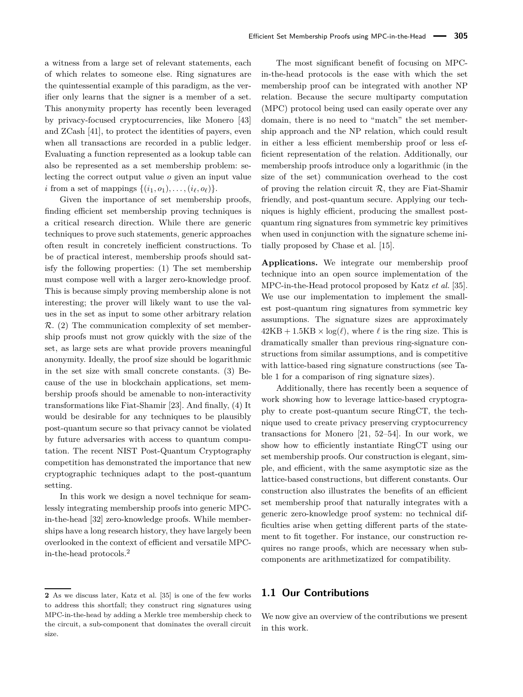a witness from a large set of relevant statements, each of which relates to someone else. Ring signatures are the quintessential example of this paradigm, as the verifier only learns that the signer is a member of a set. This anonymity property has recently been leveraged by privacy-focused cryptocurrencies, like Monero [\[43\]](#page-17-1) and ZCash [\[41\]](#page-17-2), to protect the identities of payers, even when all transactions are recorded in a public ledger. Evaluating a function represented as a lookup table can also be represented as a set membership problem: selecting the correct output value *o* given an input value *i* from a set of mappings  $\{(i_1, o_1), \ldots, (i_\ell, o_\ell)\}.$ 

Given the importance of set membership proofs, finding efficient set membership proving techniques is a critical research direction. While there are generic techniques to prove such statements, generic approaches often result in concretely inefficient constructions. To be of practical interest, membership proofs should satisfy the following properties: (1) The set membership must compose well with a larger zero-knowledge proof. This is because simply proving membership alone is not interesting; the prover will likely want to use the values in the set as input to some other arbitrary relation  $\mathcal{R}$ . (2) The communication complexity of set membership proofs must not grow quickly with the size of the set, as large sets are what provide provers meaningful anonymity. Ideally, the proof size should be logarithmic in the set size with small concrete constants. (3) Because of the use in blockchain applications, set membership proofs should be amenable to non-interactivity transformations like Fiat-Shamir [\[23\]](#page-16-1). And finally, (4) It would be desirable for any techniques to be plausibly post-quantum secure so that privacy cannot be violated by future adversaries with access to quantum computation. The recent NIST Post-Quantum Cryptography competition has demonstrated the importance that new cryptographic techniques adapt to the post-quantum setting.

In this work we design a novel technique for seamlessly integrating membership proofs into generic MPCin-the-head [\[32\]](#page-17-3) zero-knowledge proofs. While memberships have a long research history, they have largely been overlooked in the context of efficient and versatile MPCin-the-head protocols.[2](#page-0-0)

The most significant benefit of focusing on MPCin-the-head protocols is the ease with which the set membership proof can be integrated with another NP relation. Because the secure multiparty computation (MPC) protocol being used can easily operate over any domain, there is no need to "match" the set membership approach and the NP relation, which could result in either a less efficient membership proof or less efficient representation of the relation. Additionally, our membership proofs introduce only a logarithmic (in the size of the set) communication overhead to the cost of proving the relation circuit  $\mathcal{R}$ , they are Fiat-Shamir friendly, and post-quantum secure. Applying our techniques is highly efficient, producing the smallest postquantum ring signatures from symmetric key primitives when used in conjunction with the signature scheme initially proposed by Chase et al. [\[15\]](#page-16-2).

**Applications.** We integrate our membership proof technique into an open source implementation of the MPC-in-the-Head protocol proposed by Katz *et al.* [\[35\]](#page-17-4). We use our implementation to implement the smallest post-quantum ring signatures from symmetric key assumptions. The signature sizes are approximately  $42KB + 1.5KB \times \log(\ell)$ , where  $\ell$  is the ring size. This is dramatically smaller than previous ring-signature constructions from similar assumptions, and is competitive with lattice-based ring signature constructions (see [Ta](#page-3-0)[ble 1](#page-3-0) for a comparison of ring signature sizes).

Additionally, there has recently been a sequence of work showing how to leverage lattice-based cryptography to create post-quantum secure RingCT, the technique used to create privacy preserving cryptocurrency transactions for Monero [\[21,](#page-16-3) [52–](#page-17-5)[54\]](#page-17-6). In our work, we show how to efficiently instantiate RingCT using our set membership proofs. Our construction is elegant, simple, and efficient, with the same asymptotic size as the lattice-based constructions, but different constants. Our construction also illustrates the benefits of an efficient set membership proof that naturally integrates with a generic zero-knowledge proof system: no technical difficulties arise when getting different parts of the statement to fit together. For instance, our construction requires no range proofs, which are necessary when subcomponents are arithmetizatized for compatibility.

#### **1.1 Our Contributions**

We now give an overview of the contributions we present in this work.

**<sup>2</sup>** As we discuss later, Katz et al. [\[35\]](#page-17-4) is one of the few works to address this shortfall; they construct ring signatures using MPC-in-the-head by adding a Merkle tree membership check to the circuit, a sub-component that dominates the overall circuit size.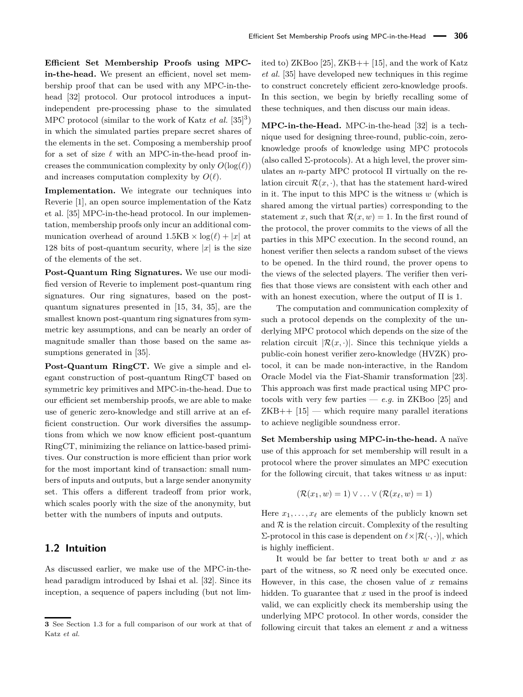**Efficient Set Membership Proofs using MPCin-the-head.** We present an efficient, novel set membership proof that can be used with any MPC-in-thehead [\[32\]](#page-17-3) protocol. Our protocol introduces a inputindependent pre-processing phase to the simulated MPC protocol (similar to the work of Katz *et al.*  $[35]^{3}$  $[35]^{3}$  $[35]^{3}$  $[35]^{3}$ ) in which the simulated parties prepare secret shares of the elements in the set. Composing a membership proof for a set of size  $\ell$  with an MPC-in-the-head proof increases the communication complexity by only  $O(\log(\ell))$ and increases computation complexity by  $O(\ell)$ .

Implementation. We integrate our techniques into Reverie [\[1\]](#page-15-0), an open source implementation of the Katz et al. [\[35\]](#page-17-4) MPC-in-the-head protocol. In our implementation, membership proofs only incur an additional communication overhead of around  $1.5KB \times log(\ell) + |x|$  at 128 bits of post-quantum security, where  $|x|$  is the size of the elements of the set.

**Post-Quantum Ring Signatures.** We use our modified version of Reverie to implement post-quantum ring signatures. Our ring signatures, based on the postquantum signatures presented in [\[15,](#page-16-2) [34,](#page-17-7) [35\]](#page-17-4), are the smallest known post-quantum ring signatures from symmetric key assumptions, and can be nearly an order of magnitude smaller than those based on the same assumptions generated in [\[35\]](#page-17-4).

**Post-Quantum RingCT.** We give a simple and elegant construction of post-quantum RingCT based on symmetric key primitives and MPC-in-the-head. Due to our efficient set membership proofs, we are able to make use of generic zero-knowledge and still arrive at an efficient construction. Our work diversifies the assumptions from which we now know efficient post-quantum RingCT, minimizing the reliance on lattice-based primitives. Our construction is more efficient than prior work for the most important kind of transaction: small numbers of inputs and outputs, but a large sender anonymity set. This offers a different tradeoff from prior work, which scales poorly with the size of the anonymity, but better with the numbers of inputs and outputs.

#### **1.2 Intuition**

As discussed earlier, we make use of the MPC-in-thehead paradigm introduced by Ishai et al. [\[32\]](#page-17-3). Since its inception, a sequence of papers including (but not limited to) ZKBoo [\[25\]](#page-16-4), ZKB++ [\[15\]](#page-16-2), and the work of Katz *et al.* [\[35\]](#page-17-4) have developed new techniques in this regime to construct concretely efficient zero-knowledge proofs. In this section, we begin by briefly recalling some of these techniques, and then discuss our main ideas.

**MPC-in-the-Head.** MPC-in-the-head [\[32\]](#page-17-3) is a technique used for designing three-round, public-coin, zeroknowledge proofs of knowledge using MPC protocols (also called  $\Sigma$ -protocols). At a high level, the prover simulates an *n*-party MPC protocol Π virtually on the relation circuit  $\mathcal{R}(x, \cdot)$ , that has the statement hard-wired in it. The input to this MPC is the witness *w* (which is shared among the virtual parties) corresponding to the statement *x*, such that  $\mathcal{R}(x, w) = 1$ . In the first round of the protocol, the prover commits to the views of all the parties in this MPC execution. In the second round, an honest verifier then selects a random subset of the views to be opened. In the third round, the prover opens to the views of the selected players. The verifier then verifies that those views are consistent with each other and with an honest execution, where the output of  $\Pi$  is 1.

The computation and communication complexity of such a protocol depends on the complexity of the underlying MPC protocol which depends on the size of the relation circuit  $|\mathcal{R}(x, \cdot)|$ . Since this technique yields a public-coin honest verifier zero-knowledge (HVZK) protocol, it can be made non-interactive, in the Random Oracle Model via the Fiat-Shamir transformation [\[23\]](#page-16-1). This approach was first made practical using MPC protocols with very few parties —  $e.g.$  in ZKBoo [\[25\]](#page-16-4) and  $ZKB++$  [\[15\]](#page-16-2) — which require many parallel iterations to achieve negligible soundness error.

**Set Membership using MPC-in-the-head.** A naïve use of this approach for set membership will result in a protocol where the prover simulates an MPC execution for the following circuit, that takes witness *w* as input:

$$
(\mathcal{R}(x_1,w)=1) \vee \ldots \vee (\mathcal{R}(x_\ell,w)=1)
$$

Here  $x_1, \ldots, x_\ell$  are elements of the publicly known set and  $R$  is the relation circuit. Complexity of the resulting  $\Sigma$ -protocol in this case is dependent on  $\ell \times |R(\cdot, \cdot)|$ , which is highly inefficient.

It would be far better to treat both *w* and *x* as part of the witness, so  $R$  need only be executed once. However, in this case, the chosen value of *x* remains hidden. To guarantee that *x* used in the proof is indeed valid, we can explicitly check its membership using the underlying MPC protocol. In other words, consider the following circuit that takes an element *x* and a witness

**<sup>3</sup>** See [Section 1.3](#page-5-0) for a full comparison of our work at that of Katz *et al.*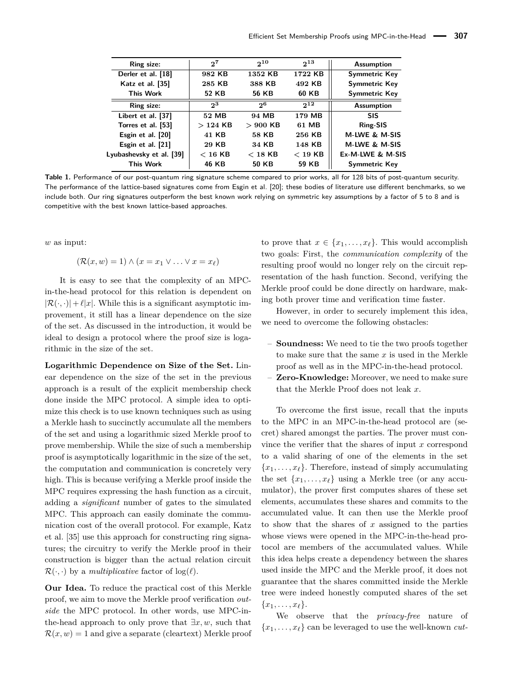<span id="page-3-0"></span>

| Ring size:               | 27        | $2^{10}$       | $2^{13}$  | <b>Assumption</b>    |  |
|--------------------------|-----------|----------------|-----------|----------------------|--|
| Derler et al. [18]       | 982 KB    | 1352 KB        | 1722 KB   | <b>Symmetric Key</b> |  |
| Katz et al. [35]         | 285 KB    | 388 KB         | 492 KB    | <b>Symmetric Key</b> |  |
| <b>This Work</b>         | 52 KB     | 56 KB          | 60 KB     | Symmetric Key        |  |
| Ring size:               | $2^3$     | 2 <sub>0</sub> | $2^{12}$  | <b>Assumption</b>    |  |
| Libert et al. [37]       | 52 MB     | 94 MB          | 179 MB    | <b>SIS</b>           |  |
| Torres et al. [53]       | $>124$ KB | $>900$ KB      | 61 MB     | Ring-SIS             |  |
| Esgin et al. [20]        | 41 KB     | 58 KB          | 256 KB    | M-LWE & M-SIS        |  |
| Esgin et al. [21]        | 29 KB     | 34 KB          | 148 KB    | M-LWE & M-SIS        |  |
| Lyubashevsky et al. [39] | $< 16$ KB | $<$ 18 KB      | $<$ 19 KB | Ex-M-LWE & M-SIS     |  |
| <b>This Work</b>         | 46 KB     | 50 KB          | 59 KB     | <b>Symmetric Key</b> |  |

**Table 1.** Performance of our post-quantum ring signature scheme compared to prior works, all for 128 bits of post-quantum security. The performance of the lattice-based signatures come from Esgin et al. [\[20\]](#page-16-6); these bodies of literature use different benchmarks, so we include both. Our ring signatures outperform the best known work relying on symmetric key assumptions by a factor of 5 to 8 and is competitive with the best known lattice-based approaches.

*w* as input:

$$
(\mathcal{R}(x,w) = 1) \land (x = x_1 \lor \dots \lor x = x_\ell)
$$

It is easy to see that the complexity of an MPCin-the-head protocol for this relation is dependent on  $|\mathcal{R}(\cdot, \cdot)| + \ell |x|$ . While this is a significant asymptotic improvement, it still has a linear dependence on the size of the set. As discussed in the introduction, it would be ideal to design a protocol where the proof size is logarithmic in the size of the set.

**Logarithmic Dependence on Size of the Set.** Linear dependence on the size of the set in the previous approach is a result of the explicit membership check done inside the MPC protocol. A simple idea to optimize this check is to use known techniques such as using a Merkle hash to succinctly accumulate all the members of the set and using a logarithmic sized Merkle proof to prove membership. While the size of such a membership proof is asymptotically logarithmic in the size of the set, the computation and communication is concretely very high. This is because verifying a Merkle proof inside the MPC requires expressing the hash function as a circuit, adding a *significant* number of gates to the simulated MPC. This approach can easily dominate the communication cost of the overall protocol. For example, Katz et al. [\[35\]](#page-17-4) use this approach for constructing ring signatures; the circuitry to verify the Merkle proof in their construction is bigger than the actual relation circuit  $\mathcal{R}(\cdot, \cdot)$  by a *multiplicative* factor of  $\log(\ell)$ .

**Our Idea.** To reduce the practical cost of this Merkle proof, we aim to move the Merkle proof verification *outside* the MPC protocol. In other words, use MPC-inthe-head approach to only prove that  $\exists x, w$ , such that  $\mathcal{R}(x, w) = 1$  and give a separate (cleartext) Merkle proof to prove that  $x \in \{x_1, \ldots, x_\ell\}$ . This would accomplish two goals: First, the *communication complexity* of the resulting proof would no longer rely on the circuit representation of the hash function. Second, verifying the Merkle proof could be done directly on hardware, making both prover time and verification time faster.

However, in order to securely implement this idea, we need to overcome the following obstacles:

- **Soundness:** We need to tie the two proofs together to make sure that the same *x* is used in the Merkle proof as well as in the MPC-in-the-head protocol.
- **Zero-Knowledge:** Moreover, we need to make sure that the Merkle Proof does not leak *x*.

To overcome the first issue, recall that the inputs to the MPC in an MPC-in-the-head protocol are (secret) shared amongst the parties. The prover must convince the verifier that the shares of input *x* correspond to a valid sharing of one of the elements in the set  ${x_1, \ldots, x_\ell}$ . Therefore, instead of simply accumulating the set  $\{x_1, \ldots, x_\ell\}$  using a Merkle tree (or any accumulator), the prover first computes shares of these set elements, accumulates these shares and commits to the accumulated value. It can then use the Merkle proof to show that the shares of *x* assigned to the parties whose views were opened in the MPC-in-the-head protocol are members of the accumulated values. While this idea helps create a dependency between the shares used inside the MPC and the Merkle proof, it does not guarantee that the shares committed inside the Merkle tree were indeed honestly computed shares of the set  ${x_1, \ldots, x_\ell}.$ 

We observe that the *privacy-free* nature of  ${x_1, \ldots, x_\ell}$  can be leveraged to use the well-known *cut-*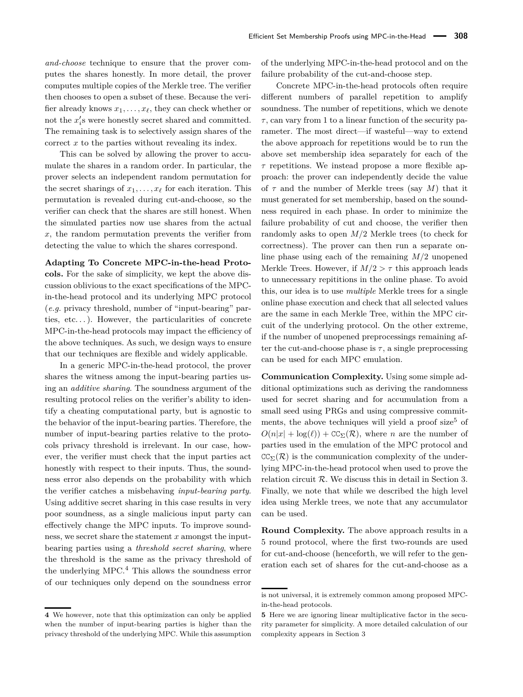*and-choose* technique to ensure that the prover computes the shares honestly. In more detail, the prover computes multiple copies of the Merkle tree. The verifier then chooses to open a subset of these. Because the verifier already knows  $x_1, \ldots, x_\ell$ , they can check whether or not the  $x_i$ 's were honestly secret shared and committed. The remaining task is to selectively assign shares of the correct *x* to the parties without revealing its index.

This can be solved by allowing the prover to accumulate the shares in a random order. In particular, the prover selects an independent random permutation for the secret sharings of  $x_1, \ldots, x_\ell$  for each iteration. This permutation is revealed during cut-and-choose, so the verifier can check that the shares are still honest. When the simulated parties now use shares from the actual *x*, the random permutation prevents the verifier from detecting the value to which the shares correspond.

**Adapting To Concrete MPC-in-the-head Protocols.** For the sake of simplicity, we kept the above discussion oblivious to the exact specifications of the MPCin-the-head protocol and its underlying MPC protocol (*e.g.* privacy threshold, number of "input-bearing" parties,  $etc.$ ...). However, the particularities of concrete MPC-in-the-head protocols may impact the efficiency of the above techniques. As such, we design ways to ensure that our techniques are flexible and widely applicable.

In a generic MPC-in-the-head protocol, the prover shares the witness among the input-bearing parties using an *additive sharing*. The soundness argument of the resulting protocol relies on the verifier's ability to identify a cheating computational party, but is agnostic to the behavior of the input-bearing parties. Therefore, the number of input-bearing parties relative to the protocols privacy threshold is irrelevant. In our case, however, the verifier must check that the input parties act honestly with respect to their inputs. Thus, the soundness error also depends on the probability with which the verifier catches a misbehaving *input-bearing party*. Using additive secret sharing in this case results in very poor soundness, as a single malicious input party can effectively change the MPC inputs. To improve soundness, we secret share the statement *x* amongst the inputbearing parties using a *threshold secret sharing*, where the threshold is the same as the privacy threshold of the underlying MPC.[4](#page-0-0) This allows the soundness error of our techniques only depend on the soundness error

**4** We however, note that this optimization can only be applied when the number of input-bearing parties is higher than the privacy threshold of the underlying MPC. While this assumption of the underlying MPC-in-the-head protocol and on the failure probability of the cut-and-choose step.

Concrete MPC-in-the-head protocols often require different numbers of parallel repetition to amplify soundness. The number of repetitions, which we denote  $\tau$ , can vary from 1 to a linear function of the security parameter. The most direct—if wasteful—way to extend the above approach for repetitions would be to run the above set membership idea separately for each of the *τ* repetitions. We instead propose a more flexible approach: the prover can independently decide the value of  $\tau$  and the number of Merkle trees (say M) that it must generated for set membership, based on the soundness required in each phase. In order to minimize the failure probability of cut and choose, the verifier then randomly asks to open *M/*2 Merkle trees (to check for correctness). The prover can then run a separate online phase using each of the remaining *M/*2 unopened Merkle Trees. However, if  $M/2 > \tau$  this approach leads to unnecessary repititions in the online phase. To avoid this, our idea is to use *multiple* Merkle trees for a single online phase execution and check that all selected values are the same in each Merkle Tree, within the MPC circuit of the underlying protocol. On the other extreme, if the number of unopened preprocessings remaining after the cut-and-choose phase is  $\tau$ , a single preprocessing can be used for each MPC emulation.

**Communication Complexity.** Using some simple additional optimizations such as deriving the randomness used for secret sharing and for accumulation from a small seed using PRGs and using compressive commit-ments, the above techniques will yield a proof size<sup>[5](#page-0-0)</sup> of  $O(n|x| + \log(\ell)) + \text{CC}_{\Sigma}(\mathcal{R})$ , where *n* are the number of parties used in the emulation of the MPC protocol and  $CC_{\Sigma}(\mathcal{R})$  is the communication complexity of the underlying MPC-in-the-head protocol when used to prove the relation circuit  $R$ . We discuss this in detail in Section [3.](#page-6-0) Finally, we note that while we described the high level idea using Merkle trees, we note that any accumulator can be used.

**Round Complexity.** The above approach results in a 5 round protocol, where the first two-rounds are used for cut-and-choose (henceforth, we will refer to the generation each set of shares for the cut-and-choose as a

is not universal, it is extremely common among proposed MPCin-the-head protocols.

**<sup>5</sup>** Here we are ignoring linear multiplicative factor in the security parameter for simplicity. A more detailed calculation of our complexity appears in Section [3](#page-6-0)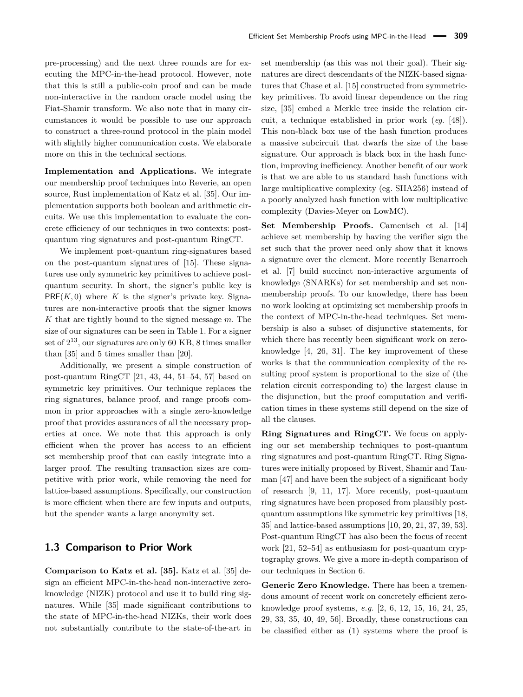pre-processing) and the next three rounds are for executing the MPC-in-the-head protocol. However, note that this is still a public-coin proof and can be made non-interactive in the random oracle model using the Fiat-Shamir transform. We also note that in many circumstances it would be possible to use our approach to construct a three-round protocol in the plain model with slightly higher communication costs. We elaborate more on this in the technical sections.

**Implementation and Applications.** We integrate our membership proof techniques into Reverie, an open source, Rust implementation of Katz et al. [\[35\]](#page-17-4). Our implementation supports both boolean and arithmetic circuits. We use this implementation to evaluate the concrete efficiency of our techniques in two contexts: postquantum ring signatures and post-quantum RingCT.

We implement post-quantum ring-signatures based on the post-quantum signatures of [\[15\]](#page-16-2). These signatures use only symmetric key primitives to achieve postquantum security. In short, the signer's public key is  $PRF(K, 0)$  where K is the signer's private key. Signatures are non-interactive proofs that the signer knows *K* that are tightly bound to the signed message *m*. The size of our signatures can be seen in [Table 1.](#page-3-0) For a signer set of  $2^{13}$ , our signatures are only 60 KB, 8 times smaller than [\[35\]](#page-17-4) and 5 times smaller than [\[20\]](#page-16-6).

Additionally, we present a simple construction of post-quantum RingCT [\[21,](#page-16-3) [43,](#page-17-1) [44,](#page-17-11) [51–](#page-17-12)[54,](#page-17-6) [57\]](#page-18-0) based on symmetric key primitives. Our technique replaces the ring signatures, balance proof, and range proofs common in prior approaches with a single zero-knowledge proof that provides assurances of all the necessary properties at once. We note that this approach is only efficient when the prover has access to an efficient set membership proof that can easily integrate into a larger proof. The resulting transaction sizes are competitive with prior work, while removing the need for lattice-based assumptions. Specifically, our construction is more efficient when there are few inputs and outputs, but the spender wants a large anonymity set.

#### <span id="page-5-0"></span>**1.3 Comparison to Prior Work**

**Comparison to Katz et al. [\[35\]](#page-17-4).** Katz et al. [\[35\]](#page-17-4) design an efficient MPC-in-the-head non-interactive zeroknowledge (NIZK) protocol and use it to build ring signatures. While [\[35\]](#page-17-4) made significant contributions to the state of MPC-in-the-head NIZKs, their work does not substantially contribute to the state-of-the-art in set membership (as this was not their goal). Their signatures are direct descendants of the NIZK-based signatures that Chase et al. [\[15\]](#page-16-2) constructed from symmetrickey primitives. To avoid linear dependence on the ring size, [\[35\]](#page-17-4) embed a Merkle tree inside the relation circuit, a technique established in prior work (*eg.* [\[48\]](#page-17-13)). This non-black box use of the hash function produces a massive subcircuit that dwarfs the size of the base signature. Our approach is black box in the hash function, improving inefficiency. Another benefit of our work is that we are able to us standard hash functions with large multiplicative complexity (eg. SHA256) instead of a poorly analyzed hash function with low multiplicative complexity (Davies-Meyer on LowMC).

**Set Membership Proofs.** Camenisch et al. [\[14\]](#page-16-7) achieve set membership by having the verifier sign the set such that the prover need only show that it knows a signature over the element. More recently Benarroch et al. [\[7\]](#page-16-8) build succinct non-interactive arguments of knowledge (SNARKs) for set membership and set nonmembership proofs. To our knowledge, there has been no work looking at optimizing set membership proofs in the context of MPC-in-the-head techniques. Set membership is also a subset of disjunctive statements, for which there has recently been significant work on zeroknowledge [\[4,](#page-16-9) [26,](#page-16-10) [31\]](#page-17-14). The key improvement of these works is that the communication complexity of the resulting proof system is proportional to the size of (the relation circuit corresponding to) the largest clause in the disjunction, but the proof computation and verification times in these systems still depend on the size of all the clauses.

**Ring Signatures and RingCT.** We focus on applying our set membership techniques to post-quantum ring signatures and post-quantum RingCT. Ring Signatures were initially proposed by Rivest, Shamir and Tauman [\[47\]](#page-17-0) and have been the subject of a significant body of research [\[9,](#page-16-11) [11,](#page-16-12) [17\]](#page-16-13). More recently, post-quantum ring signatures have been proposed from plausibly postquantum assumptions like symmetric key primitives [\[18,](#page-16-5) [35\]](#page-17-4) and lattice-based assumptions [\[10,](#page-16-14) [20,](#page-16-6) [21,](#page-16-3) [37,](#page-17-8) [39,](#page-17-10) [53\]](#page-17-9). Post-quantum RingCT has also been the focus of recent work [\[21,](#page-16-3) [52–](#page-17-5)[54\]](#page-17-6) as enthusiasm for post-quantum cryptography grows. We give a more in-depth comparison of our techniques in [Section 6.](#page-12-0)

**Generic Zero Knowledge.** There has been a tremendous amount of recent work on concretely efficient zeroknowledge proof systems, *e.g.* [\[2,](#page-15-1) [6,](#page-16-15) [12,](#page-16-16) [15,](#page-16-2) [16,](#page-16-17) [24,](#page-16-18) [25,](#page-16-4) [29,](#page-16-19) [33,](#page-17-15) [35,](#page-17-4) [40,](#page-17-16) [49,](#page-17-17) [56\]](#page-18-1). Broadly, these constructions can be classified either as (1) systems where the proof is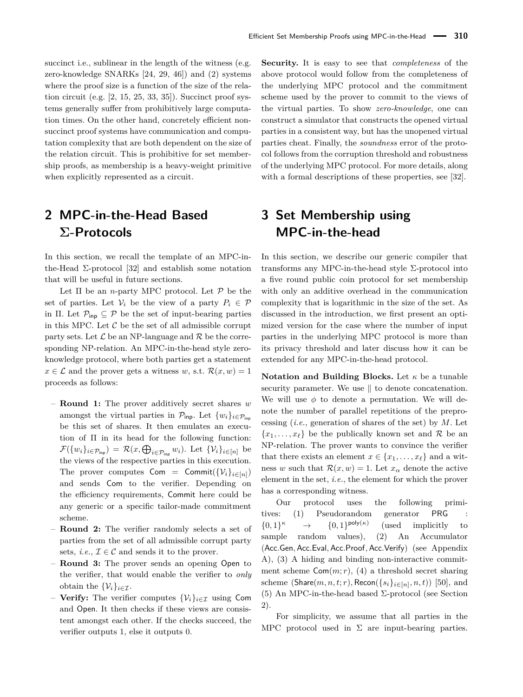succinct i.e., sublinear in the length of the witness (e.g. zero-knowledge SNARKs [\[24,](#page-16-18) [29,](#page-16-19) [46\]](#page-17-18)) and (2) systems where the proof size is a function of the size of the relation circuit (e.g.  $[2, 15, 25, 33, 35]$  $[2, 15, 25, 33, 35]$  $[2, 15, 25, 33, 35]$  $[2, 15, 25, 33, 35]$  $[2, 15, 25, 33, 35]$ ). Succinct proof systems generally suffer from prohibitively large computation times. On the other hand, concretely efficient nonsuccinct proof systems have communication and computation complexity that are both dependent on the size of the relation circuit. This is prohibitive for set membership proofs, as membership is a heavy-weight primitive when explicitly represented as a circuit.

# <span id="page-6-1"></span>**2 MPC-in-the-Head Based Σ-Protocols**

In this section, we recall the template of an MPC-inthe-Head  $\Sigma$ -protocol [\[32\]](#page-17-3) and establish some notation that will be useful in future sections.

Let  $\Pi$  be an *n*-party MPC protocol. Let  $P$  be the set of parties. Let  $V_i$  be the view of a party  $P_i \in \mathcal{P}$ in Π. Let  $\mathcal{P}_{\text{inp}} \subseteq \mathcal{P}$  be the set of input-bearing parties in this MPC. Let  $C$  be the set of all admissible corrupt party sets. Let  $\mathcal L$  be an NP-language and  $\mathcal R$  be the corresponding NP-relation. An MPC-in-the-head style zeroknowledge protocol, where both parties get a statement  $x \in \mathcal{L}$  and the prover gets a witness *w*, s.t.  $\mathcal{R}(x, w) = 1$ proceeds as follows:

- **Round 1:** The prover additively secret shares *w* amongst the virtual parties in  $\mathcal{P}_{\text{inp}}$ . Let  $\{w_i\}_{i \in \mathcal{P}_{\text{inp}}}$ be this set of shares. It then emulates an execution of Π in its head for the following function:  $\mathcal{F}(\{w_i\}_{i\in\mathcal{P}_{\text{inp}}}) = \mathcal{R}(x,\bigoplus_{i\in\mathcal{P}_{\text{inp}}}w_i)$ . Let  $\{\mathcal{V}_i\}_{i\in[n]}$  be the views of the respective parties in this execution. The prover computes  $\mathsf{Com} = \mathsf{Commit}(\{\mathcal{V}_i\}_{i \in [n]})$ and sends Com to the verifier. Depending on the efficiency requirements, Commit here could be any generic or a specific tailor-made commitment scheme.
- **Round 2:** The verifier randomly selects a set of parties from the set of all admissible corrupt party sets, *i.e.*,  $\mathcal{I} \in \mathcal{C}$  and sends it to the prover.
- **Round 3:** The prover sends an opening Open to the verifier, that would enable the verifier to *only* obtain the  $\{\mathcal{V}_i\}_{i \in \mathcal{I}}$ .
- **Verify:** The verifier computes  $\{V_i\}_{i \in \mathcal{I}}$  using Com and Open. It then checks if these views are consistent amongst each other. If the checks succeed, the verifier outputs 1, else it outputs 0.

**Security.** It is easy to see that *completeness* of the above protocol would follow from the completeness of the underlying MPC protocol and the commitment scheme used by the prover to commit to the views of the virtual parties. To show *zero-knowledge*, one can construct a simulator that constructs the opened virtual parties in a consistent way, but has the unopened virtual parties cheat. Finally, the *soundness* error of the protocol follows from the corruption threshold and robustness of the underlying MPC protocol. For more details, along with a formal descriptions of these properties, see [\[32\]](#page-17-3).

# <span id="page-6-0"></span>**3 Set Membership using MPC-in-the-head**

In this section, we describe our generic compiler that transforms any MPC-in-the-head style Σ-protocol into a five round public coin protocol for set membership with only an additive overhead in the communication complexity that is logarithmic in the size of the set. As discussed in the introduction, we first present an optimized version for the case where the number of input parties in the underlying MPC protocol is more than its privacy threshold and later discuss how it can be extended for any MPC-in-the-head protocol.

**Notation and Building Blocks.** Let *κ* be a tunable security parameter. We use  $\parallel$  to denote concatenation. We will use  $\phi$  to denote a permutation. We will denote the number of parallel repetitions of the preprocessing (*i.e.*, generation of shares of the set) by *M*. Let  ${x_1, \ldots, x_\ell}$  be the publically known set and R be an NP-relation. The prover wants to convince the verifier that there exists an element  $x \in \{x_1, \ldots, x_\ell\}$  and a witness *w* such that  $\mathcal{R}(x, w) = 1$ . Let  $x_\alpha$  denote the active element in the set, *i.e.*, the element for which the prover has a corresponding witness.

Our protocol uses the following primitives: (1) Pseudorandom generator PRG  $\{0,1\}^{\kappa}$  $\kappa \qquad \rightarrow \qquad \{0,1\}^{\mathsf{poly}(\kappa)}$ (used implicitly to sample random values), (2) An Accumulator (Acc*.*Gen*,* Acc*.*Eval*,* Acc*.*Proof*,* Acc*.*Verify) (see Appendix [A\)](#page-18-2), (3) A hiding and binding non-interactive commitment scheme  $\text{Com}(m;r)$ , (4) a threshold secret sharing scheme  $(\textsf{Share}(m, n, t; r), \textsf{Recon}(\{s_i\}_{i \in [n]}, n, t))$  [\[50\]](#page-17-19), and (5) An MPC-in-the-head based Σ-protocol (see Section [2\)](#page-6-1).

For simplicity, we assume that all parties in the MPC protocol used in  $\Sigma$  are input-bearing parties.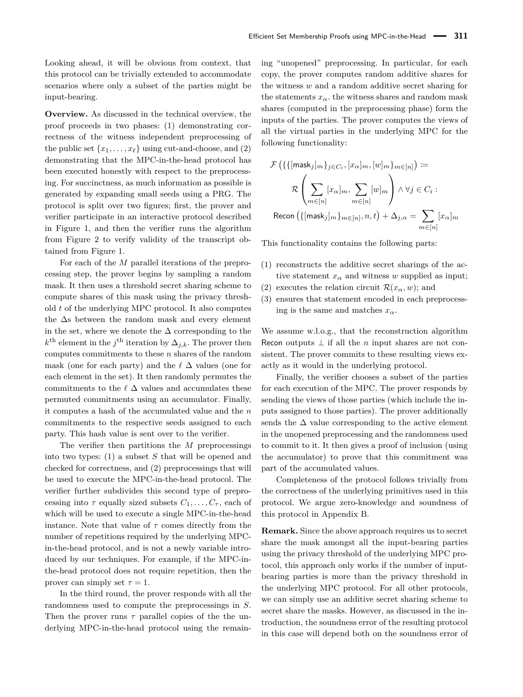Looking ahead, it will be obvious from context, that this protocol can be trivially extended to accommodate scenarios where only a subset of the parties might be input-bearing.

**Overview.** As discussed in the technical overview, the proof proceeds in two phases: (1) demonstrating correctness of the witness independent preprocessing of the public set  $\{x_1, \ldots, x_\ell\}$  using cut-and-choose, and (2) demonstrating that the MPC-in-the-head protocol has been executed honestly with respect to the preprocessing. For succinctness, as much information as possible is generated by expanding small seeds using a PRG. The protocol is split over two figures; first, the prover and verifier participate in an interactive protocol described in Figure [1,](#page-8-0) and then the verifier runs the algorithm from Figure [2](#page-9-0) to verify validity of the transcript obtained from Figure [1.](#page-8-0)

For each of the *M* parallel iterations of the preprocessing step, the prover begins by sampling a random mask. It then uses a threshold secret sharing scheme to compute shares of this mask using the privacy threshold *t* of the underlying MPC protocol. It also computes the ∆s between the random mask and every element in the set, where we denote the  $\Delta$  corresponding to the  $k^{\text{th}}$  element in the *j*<sup>th</sup> iteration by  $\Delta_{j,k}$ . The prover then computes commitments to these *n* shares of the random mask (one for each party) and the  $\ell \Delta$  values (one for each element in the set). It then randomly permutes the commitments to the  $\ell \Delta$  values and accumulates these permuted commitments using an accumulator. Finally, it computes a hash of the accumulated value and the *n* commitments to the respective seeds assigned to each party. This hash value is sent over to the verifier.

The verifier then partitions the *M* preprocessings into two types: (1) a subset *S* that will be opened and checked for correctness, and (2) preprocessings that will be used to execute the MPC-in-the-head protocol. The verifier further subdivides this second type of preprocessing into  $\tau$  equally sized subsets  $C_1, \ldots, C_{\tau}$ , each of which will be used to execute a single MPC-in-the-head instance. Note that value of  $\tau$  comes directly from the number of repetitions required by the underlying MPCin-the-head protocol, and is not a newly variable introduced by our techniques. For example, if the MPC-inthe-head protocol does not require repetition, then the prover can simply set  $\tau = 1$ .

In the third round, the prover responds with all the randomness used to compute the preprocessings in *S*. Then the prover runs  $\tau$  parallel copies of the the underlying MPC-in-the-head protocol using the remaining "unopened" preprocessing. In particular, for each copy, the prover computes random additive shares for the witness *w* and a random additive secret sharing for the statements  $x_\alpha$ , the witness shares and random mask shares (computed in the preprocessing phase) form the inputs of the parties. The prover computes the views of all the virtual parties in the underlying MPC for the following functionality:

$$
\mathcal{F}\left(\{\{[\mathsf{mask}_j]_m\}_{j \in C_i}, [x_\alpha]_m, [w]_m\}_{m \in [n]}\right) :=
$$
\n
$$
\mathcal{R}\left(\sum_{m \in [n]} [x_\alpha]_m, \sum_{m \in [n]} [w]_m\right) \land \forall j \in C_i :
$$
\n  
\nRecon  $\left(\{[\mathsf{mask}_j]_m\}_{m \in [n]}, n, t\right) + \Delta_{j, \alpha} = \sum_{m \in [n]} [x_\alpha]_m$ 

This functionality contains the following parts:

- (1) reconstructs the additive secret sharings of the active statement  $x_\alpha$  and witness *w* supplied as input;
- (2) executes the relation circuit  $\mathcal{R}(x_\alpha, w)$ ; and
- (3) ensures that statement encoded in each preprocessing is the same and matches  $x_\alpha$ .

We assume w.l.o.g., that the reconstruction algorithm Recon outputs  $\perp$  if all the *n* input shares are not consistent. The prover commits to these resulting views exactly as it would in the underlying protocol.

Finally, the verifier chooses a subset of the parties for each execution of the MPC. The prover responds by sending the views of those parties (which include the inputs assigned to those parties). The prover additionally sends the  $\Delta$  value corresponding to the active element in the unopened preprocessing and the randomness used to commit to it. It then gives a proof of inclusion (using the accumulator) to prove that this commitment was part of the accumulated values.

Completeness of the protocol follows trivially from the correctness of the underlying primitives used in this protocol. We argue zero-knowledge and soundness of this protocol in [Appendix B.](#page-18-3)

**Remark.** Since the above approach requires us to secret share the mask amongst all the input-bearing parties using the privacy threshold of the underlying MPC protocol, this approach only works if the number of inputbearing parties is more than the privacy threshold in the underlying MPC protocol. For all other protocols, we can simply use an additive secret sharing scheme to secret share the masks. However, as discussed in the introduction, the soundness error of the resulting protocol in this case will depend both on the soundness error of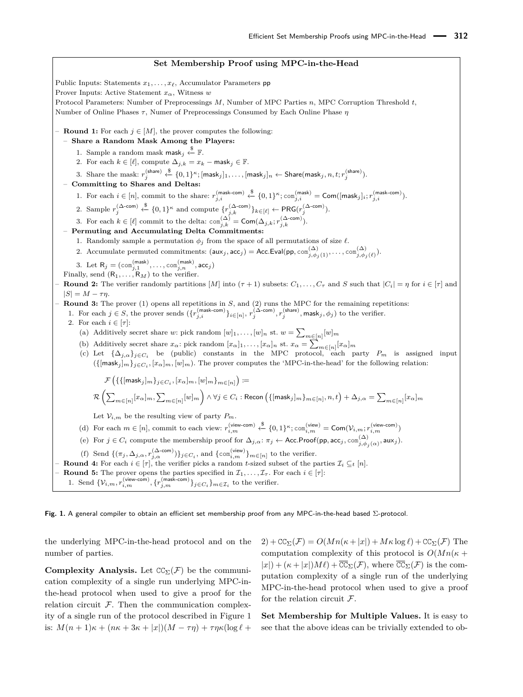# **Set Membership Proof using MPC-in-the-Head**

<span id="page-8-0"></span>Public Inputs: Statements  $x_1, \ldots, x_\ell$ , Accumulator Parameters pp Prover Inputs: Active Statement *xα*, Witness *w* Protocol Parameters: Number of Preprocessings *M*, Number of MPC Parties *n*, MPC Corruption Threshold *t*, Number of Online Phases *τ*, Numer of Preprocessings Consumed by Each Online Phase *η* **- Round 1:** For each  $j \in [M]$ , the prover computes the following: – **Share a Random Mask Among the Players:** 1. Sample a random mask mask<sub>j</sub>  $\overset{\$}{\leftarrow}$  **F**. 2. For each  $k \in [\ell]$ , compute  $\Delta_{j,k} = x_k - \text{mask}_j \in \mathbb{F}$ .  $\text{3.} \ \ \text{Share the mask:} \ \ r_j^{(\text{share})} \xleftarrow{\$} \{0,1\}^\kappa; [\textsf{mask}_j]_1, \ldots, [\textsf{mask}_j]_n \leftarrow \textsf{Share}(\textsf{mask}_j, n, t; r_j^{(\textsf{share})}).$ – **Committing to Shares and Deltas:** 1. For each  $i \in [n]$ , commit to the share:  $r_{j,i}^{(\text{mask-com})} \leftarrow^{\$} \{0,1\}^{\kappa}; \text{com}_{j,i}^{(\text{mask})} = \text{Com}([\text{mask}_j]_i; r_{j,i}^{(\text{mask-com})}).$ 2. Sample  $r_j^{(\Delta\text{-com})} \overset{\$}{\leftarrow} \{0,1\}^{\kappa}$  and compute  $\{r_{j,k}^{(\Delta\text{-com})}\}_{k\in[\ell]} \leftarrow \text{PRG}(r_j^{(\Delta\text{-com})}).$ 3. For each  $k \in [\ell]$  commit to the delta:  $\text{com}_{j,k}^{(\Delta)} = \text{Com}(\Delta_{j,k}; r_{j,k}^{(\Delta\text{-com})}).$ – **Permuting and Accumulating Delta Commitments:** 1. Randomly sample a permutation  $\phi_j$  from the space of all permutations of size  $\ell$ . 2. Accumulate permuted commitments:  $(\textsf{aux}_j, \textsf{acc}_j) = \textsf{Acc}.\textsf{Eval}(\textsf{pp}, \textsf{com}_{j, \phi_j(1)}^{(\Delta)}, \dots, \textsf{com}_{j, \phi_j(\ell)}^{(\Delta)}).$ 3. Let  $R_j = (com_{j,1}^{(mask)}, \ldots, com_{j,n}^{(mask)}, acc_j)$ Finally, send  $(R_1, \ldots, R_M)$  to the verifier.  $-$  **Round 2:** The verifier randomly partitions  $[M]$  into  $(\tau + 1)$  subsets:  $C_1, \ldots, C_{\tau}$  and  $S$  such that  $|C_i| = \eta$  for  $i \in [\tau]$  and  $|S| = M - \tau \eta$ . – **Round 3:** The prover (1) opens all repetitions in *S*, and (2) runs the MPC for the remaining repetitions: 1. For each  $j \in S$ , the prover sends  $(\{r_{j,i}^{(\text{mask-com})}\}_{i \in [n]}, r_j^{(\Delta\text{-com})}, r_j^{(\text{share})}, \text{mask}_j, \phi_j)$  to the verifier. 2. For each  $i \in [\tau]$ : (a) Additively secret share *w*: pick random  $[w]_1, \ldots, [w]_n$  st.  $w = \sum_{m \in [n]} [w]_m$ (b) Additively secret share  $x_{\alpha}$ : pick random  $[x_{\alpha}]_1, \ldots, [x_{\alpha}]_n$  st.  $x_{\alpha} = \sum_{m \in [n]} [x_{\alpha}]_m$ (c) Let  $\{\Delta_{j,\alpha}\}_{j\in C_i}$  be (public) constants in the MPC protocol, each party  $P_m$  is assigned input  $(\{[\text{mask}_j]_m\}_{j \in C_i}, [x_\alpha]_m, [w]_m)$ . The prover computes the 'MPC-in-the-head' for the following relation:  $\mathcal{F}\left(\{\{[\mathsf{mask}_j]_{m}\}_{j \in C_i}, [x_\alpha]_{m}, [w]_{m}\}_{m \in [n]}\right) \coloneqq$  $\mathcal{R}\left(\sum\nolimits_{m \in [n]} [x_\alpha]_m, \sum\nolimits_{m \in [n]} [w]_m\right) \wedge \forall j \in C_i: \mathsf{Recon}\left(\{[\mathsf{mask}_j]_m\}_{m \in [n]}, n, t\right) + \Delta_{j, \alpha} = \sum\nolimits_{m \in [n]} [x_\alpha]_m$ Let  $\mathcal{V}_{i,m}$  be the resulting view of party  $P_m.$ (d) For each  $m \in [n]$ , commit to each view:  $r_{i,m}^{(\text{view-com})} \leftarrow \{0,1\}^{\kappa}$ ; com $_{i,m}^{(\text{view-com})} = \text{Com}(\mathcal{V}_{i,m}; r_{i,m}^{(\text{view-com})})$ (e) For  $j \in C_i$  compute the membership proof for  $\Delta_{j,\alpha} : \pi_j \leftarrow \textsf{Acc}.\textsf{Proof(pp, acc_j, com}^{(\Delta)}_{j,\phi_j(\alpha)}, \textsf{aux}_j).$ (f) Send  $\{(\pi_j, \Delta_{j,\alpha}, r_{j,\alpha}^{(\Delta-\text{com})})\}_{j\in C_i}$ , and  $\{\text{con}_{i,m}^{(\text{view})}\}_{m\in[n]}$  to the verifier.  $-$  **Round 4:** For each *i* ∈ [ $τ$ ], the verifier picks a random *t*-sized subset of the parties  $\mathcal{I}_i$  ⊆<sub>*t*</sub> [ $n$ ]. **- Round 5:** The prover opens the parties specified in  $\mathcal{I}_1, \ldots, \mathcal{I}_{\tau}$ . For each  $i \in [\tau]$ : 1. Send  $\{V_{i,m}, r_{i,m}^{(\text{view-com})}, \{r_{j,m}^{(\text{mask-com})}\}_{j \in C_i}\}_{m \in \mathcal{I}_i}$  to the verifier.

**Fig. 1.** A general compiler to obtain an efficient set membership proof from any MPC-in-the-head based Σ-protocol.

the underlying MPC-in-the-head protocol and on the number of parties.

**Complexity Analysis.** Let  $CC_{\Sigma}(\mathcal{F})$  be the communication complexity of a single run underlying MPC-inthe-head protocol when used to give a proof for the relation circuit  $F$ . Then the communication complexity of a single run of the protocol described in Figure [1](#page-8-0) is:  $M(n + 1)\kappa + (n\kappa + 3\kappa + |x|)(M - \tau\eta) + \tau\eta\kappa(\log \ell +$ 

 $2) + \text{CC}_{\Sigma}(\mathcal{F}) = O(Mn(\kappa + |x|) + M\kappa \log \ell) + \text{CC}_{\Sigma}(\mathcal{F})$  The computation complexity of this protocol is  $O(Mn(\kappa +$  $|x| + (\kappa + |x|)M\ell + \overline{\mathbf{CC}}_{\Sigma}(\mathcal{F}),$  where  $\overline{\mathbf{CC}}_{\Sigma}(\mathcal{F})$  is the computation complexity of a single run of the underlying MPC-in-the-head protocol when used to give a proof for the relation circuit  $\mathcal{F}.$ 

**Set Membership for Multiple Values.** It is easy to see that the above ideas can be trivially extended to ob-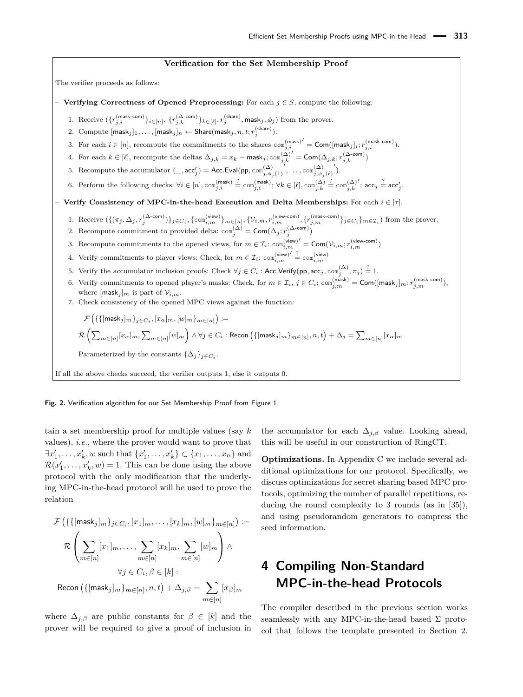#### **Verification for the Set Membership Proof**

<span id="page-9-0"></span>The verifier proceeds as follows:

- **Verifying Correctness of Opened Preprocessing:** For each  $j \in S$ , compute the following:
	- 1. Receive  $(\{r_{j,i}^{(\text{mask-com})}\}_{i \in [n]}, \{r_{j,k}^{(\Delta\text{-com})}\}_{k \in [\ell]}, r_{j}^{(\text{share})}, \textsf{mask}_j, \phi_j)$  from the prover.
	- $2. \ \ \mathrm{Compute} \ [\mathsf{mask}_j]_1, \dots, [\mathsf{mask}_j]_n \gets \mathsf{Share}(\mathsf{mask}_j, n, t; r_j^{(\mathsf{share})}).$
	- 3. For each  $i \in [n]$ , recompute the commitments to the shares  $\text{com}_{j,i}^{(\text{mask})}$  $\mathcal{O}' = \mathsf{Com}([\mathsf{mask}_j]_i; r_{j,i}^{(\mathsf{mask-com})}).$
	- 4. For each  $k \in [\ell]$ , recompute the deltas  $\Delta_{j,k} = x_k \text{mask}_j; \text{com}_{j,k}^{(\Delta)}$  $\boldsymbol{0}^\prime = \mathsf{Com}(\Delta_{j,k}; r_{j,k}^{(\Delta\text{-com})})$
	- $\int$ ,..., com $\int_{j,\phi_j(\ell)}^{(\Delta)}$  $\mathcal{L}$ ).
	- 5. Recompute the accumulator  $(\_, \text{acc}'_j) = \text{Acc.Eval}(\text{pp}, \text{com}^{(\Delta)}_{j, \phi_j(1)})$
	- 6. Perform the following checks:  $\forall i \in [n]$ ,  $\text{com}_{j,i}^{(\text{mask})} \stackrel{?}{=} \text{com}_{j,i}^{(\text{mask})}$ ;  $\forall k \in [\ell], \text{com}_{j,k}^{(\Delta)}$  $\stackrel{?}{=} \text{com}_{j,k}^{(\Delta)}$  $\prime$ ;  $\text{acc}_j \stackrel{?}{=} \text{acc}'_j$ .

– **Verify Consistency of MPC-in-the-head Execution and Delta Memberships:** For each *i* ∈ [*τ*]:

- 1. Receive  $(\{(\pi_j, \Delta_j, r_j^{(\Delta \text{-com})})\}_{j \in C_i}, \{\text{com}_{i,m}^{(\text{view})}\}_{m \in [n]}, \{\mathcal{V}_{i,m}, r_{i,m}^{(\text{view-com})}, \{r_{j,m}^{(\text{mask-com})}\}_{j \in C_i}\}_{m \in \mathcal{I}_i})$  from the prover. 2. Recompute commitment to provided delta:  $\text{com}_{j}^{(\Delta)} = \text{Com}(\Delta_j; r_j^{(\Delta\text{-com})})$
- 3. Recompute commitments to the opened views, for  $m \in \mathcal{I}_i$ : com<sub>i,m</sub> (view)  $\boldsymbol{O}' = \mathsf{Com}(\mathcal{V}_{i,m}; r_{i,m}^{(\mathsf{view-com})})$
- 4. Verify commitments to player views: Check, for  $m \in \mathcal{I}_i$ :  $\text{com}_{i,m}^{(\text{view})'} \stackrel{?}{=} \text{com}_{i,m}^{(\text{view})}$
- 5. Verify the accumulator inclusion proofs: Check  $\forall j \in C_i:$  Acc.Verify(pp, acc $_j,$   $\text{con}^{(\Delta)}_j, \pi_j) \stackrel{?}{=} 1.$
- 6. Verify commitments to opened player's masks: Check, for  $m \in \mathcal{I}_i$ ,  $j \in C_i$ : com $\binom{(\text{mask})}{j,m} = \textsf{Com}([\text{mask}_j]_m; r_{j,m}^{(\text{mask-con})}),$ where  $[\text{mask}_i]_m$  is part of  $\mathcal{V}_{i,m}$ .
- 7. Check consistency of the opened MPC views against the function:

 $\mathcal{F}\left(\{\{[\mathsf{mask}_j]_{m}\}_{j \in C_i}, [x_\alpha]_{m}, [w]_{m}\}_{m \in [n]}\right) \coloneqq$  $\mathcal{R}\left(\sum_{m\in[n]}[x_\alpha]_m,\sum_{m\in[n]}[w]_m\right)\wedge\forall j\in C_i:$  Recon  $\left(\{[\mathsf{mask}_j]_m\}_{m\in[n]},n,t\right) + \Delta_j = \sum_{m\in[n]}[x_\alpha]_m$ Parameterized by the constants  $\{\Delta_j\}_{j\in C_i}$ . If all the above checks succeed, the verifier outputs 1, else it outputs 0.

**Fig. 2.** Verification algorithm for our Set Membership Proof from Figure [1.](#page-8-0)

tain a set membership proof for multiple values (say *k* values), *i.e.*, where the prover would want to prove that  $\exists x'_1, \ldots, x'_k, w$  such that  $\{x'_1, \ldots, x'_k\} \subset \{x_1, \ldots, x_n\}$  and  $\mathcal{R}(x'_1, \ldots, x'_k, w) = 1$ . This can be done using the above protocol with the only modification that the underlying MPC-in-the-head protocol will be used to prove the relation

$$
\mathcal{F}\left(\{\{[\mathsf{mask}_j]_m\}_{j \in C_i}, [x_1]_m, \dots, [x_k]_m, [w]_m\}_{m \in [n]}\right) :=
$$
\n
$$
\mathcal{R}\left(\sum_{m \in [n]} [x_1]_m, \dots, \sum_{m \in [n]} [x_k]_m, \sum_{m \in [n]} [w]_m\right) \wedge
$$
\n
$$
\forall j \in C_i, \beta \in [k]:
$$
\n
$$
\text{Recon } (\{[\mathsf{mask}_j]_m\}_{m \in [n]}, n, t) + \Delta_{j, \beta} = \sum_{m \in [n]} [x_{\beta}]_m
$$

where  $\Delta_{j,\beta}$  are public constants for  $\beta \in [k]$  and the prover will be required to give a proof of inclusion in

the accumulator for each  $\Delta_{j,\beta}$  value. Looking ahead, this will be useful in our construction of RingCT.

**Optimizations.** In [Appendix C](#page-20-1) we include several additional optimizations for our protocol. Specifically, we discuss optimizations for secret sharing based MPC protocols, optimizing the number of parallel repetitions, reducing the round complexity to 3 rounds (as in [\[35\]](#page-17-4)), and using pseudorandom generators to compress the seed information.

# <span id="page-9-1"></span>**4 Compiling Non-Standard MPC-in-the-head Protocols**

The compiler described in the previous section works seamlessly with any MPC-in-the-head based  $\Sigma$  protocol that follows the template presented in Section [2.](#page-6-1)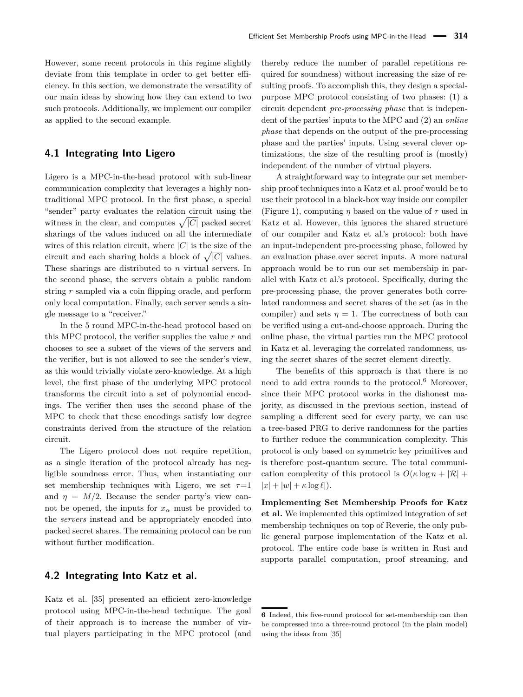However, some recent protocols in this regime slightly deviate from this template in order to get better efficiency. In this section, we demonstrate the versatility of our main ideas by showing how they can extend to two such protocols. Additionally, we implement our compiler as applied to the second example.

#### **4.1 Integrating Into Ligero**

Ligero is a MPC-in-the-head protocol with sub-linear communication complexity that leverages a highly nontraditional MPC protocol. In the first phase, a special "sender" party evaluates the relation circuit using the witness in the clear, and computes  $\sqrt{|C|}$  packed secret sharings of the values induced on all the intermediate wires of this relation circuit, where  $|C|$  is the size of the circuit and each sharing holds a block of  $\sqrt{|C|}$  values. These sharings are distributed to *n* virtual servers. In the second phase, the servers obtain a public random string *r* sampled via a coin flipping oracle, and perform only local computation. Finally, each server sends a single message to a "receiver."

In the 5 round MPC-in-the-head protocol based on this MPC protocol, the verifier supplies the value *r* and chooses to see a subset of the views of the servers and the verifier, but is not allowed to see the sender's view, as this would trivially violate zero-knowledge. At a high level, the first phase of the underlying MPC protocol transforms the circuit into a set of polynomial encodings. The verifier then uses the second phase of the MPC to check that these encodings satisfy low degree constraints derived from the structure of the relation circuit.

The Ligero protocol does not require repetition, as a single iteration of the protocol already has negligible soundness error. Thus, when instantiating our set membership techniques with Ligero, we set  $\tau=1$ and  $\eta = M/2$ . Because the sender party's view cannot be opened, the inputs for  $x_\alpha$  must be provided to the *servers* instead and be appropriately encoded into packed secret shares. The remaining protocol can be run without further modification.

#### <span id="page-10-0"></span>**4.2 Integrating Into Katz et al.**

Katz et al. [\[35\]](#page-17-4) presented an efficient zero-knowledge protocol using MPC-in-the-head technique. The goal of their approach is to increase the number of virtual players participating in the MPC protocol (and thereby reduce the number of parallel repetitions required for soundness) without increasing the size of resulting proofs. To accomplish this, they design a specialpurpose MPC protocol consisting of two phases: (1) a circuit dependent *pre-processing phase* that is independent of the parties' inputs to the MPC and (2) an *online phase* that depends on the output of the pre-processing phase and the parties' inputs. Using several clever optimizations, the size of the resulting proof is (mostly) independent of the number of virtual players.

A straightforward way to integrate our set membership proof techniques into a Katz et al. proof would be to use their protocol in a black-box way inside our compiler [\(Figure 1\)](#page-8-0), computing *η* based on the value of *τ* used in Katz et al. However, this ignores the shared structure of our compiler and Katz et al.'s protocol: both have an input-independent pre-processing phase, followed by an evaluation phase over secret inputs. A more natural approach would be to run our set membership in parallel with Katz et al.'s protocol. Specifically, during the pre-processing phase, the prover generates both correlated randomness and secret shares of the set (as in the compiler) and sets  $\eta = 1$ . The correctness of both can be verified using a cut-and-choose approach. During the online phase, the virtual parties run the MPC protocol in Katz et al. leveraging the correlated randomness, using the secret shares of the secret element directly.

The benefits of this approach is that there is no need to add extra rounds to the protocol.<sup>[6](#page-0-0)</sup> Moreover, since their MPC protocol works in the dishonest majority, as discussed in the previous section, instead of sampling a different seed for every party, we can use a tree-based PRG to derive randomness for the parties to further reduce the communication complexity. This protocol is only based on symmetric key primitives and is therefore post-quantum secure. The total communication complexity of this protocol is  $O(\kappa \log n + |\mathcal{R}| + |\mathcal{R}|)$  $|x| + |w| + \kappa \log \ell$ .

**Implementing Set Membership Proofs for Katz et al.** We implemented this optimized integration of set membership techniques on top of Reverie, the only public general purpose implementation of the Katz et al. protocol. The entire code base is written in Rust and supports parallel computation, proof streaming, and

**<sup>6</sup>** Indeed, this five-round protocol for set-membership can then be compressed into a three-round protocol (in the plain model) using the ideas from [\[35\]](#page-17-4)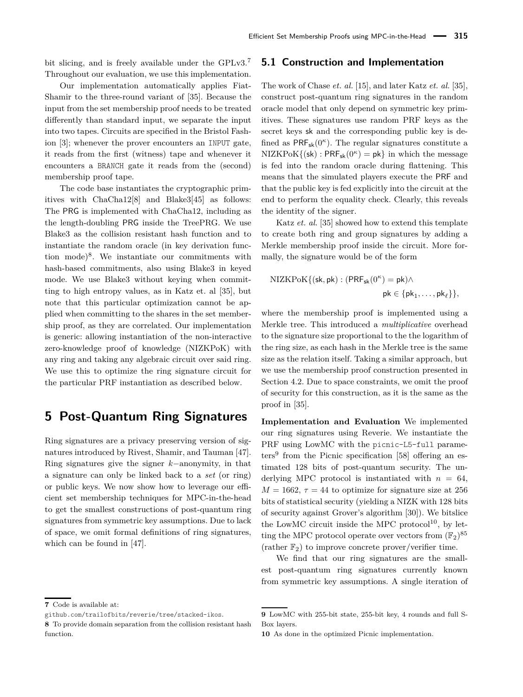bit slicing, and is freely available under the GPLv3.<sup>[7](#page-0-0)</sup> Throughout our evaluation, we use this implementation.

Our implementation automatically applies Fiat-Shamir to the three-round variant of [\[35\]](#page-17-4). Because the input from the set membership proof needs to be treated differently than standard input, we separate the input into two tapes. Circuits are specified in the Bristol Fashion [\[3\]](#page-15-2); whenever the prover encounters an INPUT gate, it reads from the first (witness) tape and whenever it encounters a BRANCH gate it reads from the (second) membership proof tape.

The code base instantiates the cryptographic primitives with ChaCha12[\[8\]](#page-16-20) and Blake3[\[45\]](#page-17-20) as follows: The PRG is implemented with ChaCha12, including as the length-doubling PRG inside the TreePRG. We use Blake3 as the collision resistant hash function and to instantiate the random oracle (in key derivation func-tion mode)<sup>[8](#page-0-0)</sup>. We instantiate our commitments with hash-based commitments, also using Blake3 in keyed mode. We use Blake3 without keying when committing to high entropy values, as in Katz et. al [\[35\]](#page-17-4), but note that this particular optimization cannot be applied when committing to the shares in the set membership proof, as they are correlated. Our implementation is generic: allowing instantiation of the non-interactive zero-knowledge proof of knowledge (NIZKPoK) with any ring and taking any algebraic circuit over said ring. We use this to optimize the ring signature circuit for the particular PRF instantiation as described below.

## <span id="page-11-0"></span>**5 Post-Quantum Ring Signatures**

Ring signatures are a privacy preserving version of signatures introduced by Rivest, Shamir, and Tauman [\[47\]](#page-17-0). Ring signatures give the signer *k*−anonymity, in that a signature can only be linked back to a *set* (or ring) or public keys. We now show how to leverage our efficient set membership techniques for MPC-in-the-head to get the smallest constructions of post-quantum ring signatures from symmetric key assumptions. Due to lack of space, we omit formal definitions of ring signatures, which can be found in [\[47\]](#page-17-0).

#### **5.1 Construction and Implementation**

The work of Chase *et. al.* [\[15\]](#page-16-2), and later Katz *et. al.* [\[35\]](#page-17-4), construct post-quantum ring signatures in the random oracle model that only depend on symmetric key primitives. These signatures use random PRF keys as the secret keys sk and the corresponding public key is defined as  $PRF_{sk}(0^{\kappa})$ . The regular signatures constitute a  $NIZKPoK({\sf sk}): PRF_{\sf sk}(0^{\kappa}) = {\sf pk}$  in which the message is fed into the random oracle during flattening. This means that the simulated players execute the PRF and that the public key is fed explicitly into the circuit at the end to perform the equality check. Clearly, this reveals the identity of the signer.

Katz *et. al.* [\[35\]](#page-17-4) showed how to extend this template to create both ring and group signatures by adding a Merkle membership proof inside the circuit. More formally, the signature would be of the form

$$
\begin{aligned} \mathrm{NIZKPoK}\{(\mathsf{sk}, \mathsf{pk}): (\mathsf{PRF}_{\mathsf{sk}}(0^\kappa) = \mathsf{pk}) \wedge \\ \mathsf{pk} &\in \{\mathsf{pk}_1, \dots, \mathsf{pk}_\ell\}\}, \end{aligned}
$$

where the membership proof is implemented using a Merkle tree. This introduced a *multiplicative* overhead to the signature size proportional to the the logarithm of the ring size, as each hash in the Merkle tree is the same size as the relation itself. Taking a similar approach, but we use the membership proof construction presented in [Section 4.2.](#page-10-0) Due to space constraints, we omit the proof of security for this construction, as it is the same as the proof in [\[35\]](#page-17-4).

**Implementation and Evaluation** We implemented our ring signatures using Reverie. We instantiate the PRF using LowMC with the picnic-L5-full parame-ters<sup>[9](#page-0-0)</sup> from the Picnic specification [\[58\]](#page-18-4) offering an estimated 128 bits of post-quantum security. The underlying MPC protocol is instantiated with  $n = 64$ .  $M = 1662$ ,  $\tau = 44$  to optimize for signature size at 256 bits of statistical security (yielding a NIZK with 128 bits of security against Grover's algorithm [\[30\]](#page-17-21)). We bitslice the LowMC circuit inside the MPC protocol $^{10}$  $^{10}$  $^{10}$ , by letting the MPC protocol operate over vectors from  $(\mathbb{F}_2)^{85}$ (rather  $\mathbb{F}_2$ ) to improve concrete prover/verifier time.

We find that our ring signatures are the smallest post-quantum ring signatures currently known from symmetric key assumptions. A single iteration of

**<sup>7</sup>** Code is available at:

github.com/trailofbits/reverie/tree/stacked-ikos.

**<sup>8</sup>** To provide domain separation from the collision resistant hash function.

**<sup>9</sup>** LowMC with 255-bit state, 255-bit key, 4 rounds and full S-Box layers.

**<sup>10</sup>** As done in the optimized Picnic implementation.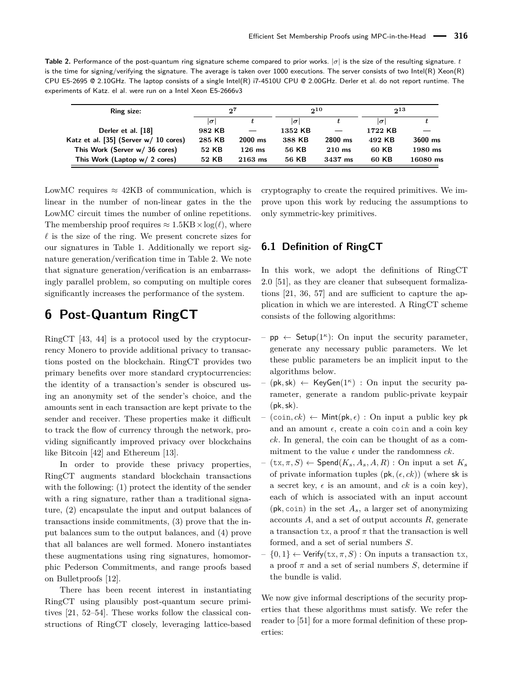<span id="page-12-1"></span>**Table 2.** Performance of the post-quantum ring signature scheme compared to prior works. |*σ*| is the size of the resulting signature. *t* is the time for signing/verifying the signature. The average is taken over 1000 executions. The server consists of two Intel(R) Xeon(R) CPU E5-2695 @ 2.10GHz. The laptop consists of a single Intel(R) i7-4510U CPU @ 2.00GHz. Derler et al. do not report runtime. The experiments of Katz. el al. were run on a Intel Xeon E5-2666v3

| Ring size:                             | $2^{7}$    |           | $2^{10}$ |           | $2^{13}$ |           |
|----------------------------------------|------------|-----------|----------|-----------|----------|-----------|
|                                        | $ \sigma $ |           | $\sigma$ |           | $\sigma$ |           |
| Derler et al. [18]                     | 982 KB     |           | 1352 KB  |           | 1722 KB  |           |
| Katz et al. [35] (Server $w/10$ cores) | 285 KB     | $2000$ ms | 388 KB   | $2800$ ms | 492 KB   | $3600$ ms |
| This Work (Server w/ 36 cores)         | 52 KB      | $126$ ms  | 56 KB    | $210$ ms  | 60 KB    | 1980 ms   |
| This Work (Laptop w/ 2 cores)          | 52 KB      | $2163$ ms | 56 KB    | 3437 ms   | 60 KB    | 16080 ms  |

LowMC requires  $\approx$  42KB of communication, which is linear in the number of non-linear gates in the the LowMC circuit times the number of online repetitions. The membership proof requires  $\approx 1.5KB \times \log(\ell)$ , where  $\ell$  is the size of the ring. We present concrete sizes for our signatures in [Table 1.](#page-3-0) Additionally we report signature generation/verification time in [Table 2.](#page-12-1) We note that signature generation/verification is an embarrassingly parallel problem, so computing on multiple cores significantly increases the performance of the system.

### <span id="page-12-0"></span>**6 Post-Quantum RingCT**

RingCT [\[43,](#page-17-1) [44\]](#page-17-11) is a protocol used by the cryptocurrency Monero to provide additional privacy to transactions posted on the blockchain. RingCT provides two primary benefits over more standard cryptocurrencies: the identity of a transaction's sender is obscured using an anonymity set of the sender's choice, and the amounts sent in each transaction are kept private to the sender and receiver. These properties make it difficult to track the flow of currency through the network, providing significantly improved privacy over blockchains like Bitcoin [\[42\]](#page-17-22) and Ethereum [\[13\]](#page-16-21).

In order to provide these privacy properties, RingCT augments standard blockchain transactions with the following: (1) protect the identity of the sender with a ring signature, rather than a traditional signature, (2) encapsulate the input and output balances of transactions inside commitments, (3) prove that the input balances sum to the output balances, and (4) prove that all balances are well formed. Monero instantiates these augmentations using ring signatures, homomorphic Pederson Commitments, and range proofs based on Bulletproofs [\[12\]](#page-16-16).

There has been recent interest in instantiating RingCT using plausibly post-quantum secure primitives [\[21,](#page-16-3) [52](#page-17-5)[–54\]](#page-17-6). These works follow the classical constructions of RingCT closely, leveraging lattice-based

cryptography to create the required primitives. We improve upon this work by reducing the assumptions to only symmetric-key primitives.

#### **6.1 Definition of RingCT**

In this work, we adopt the definitions of RingCT 2.0 [\[51\]](#page-17-12), as they are cleaner that subsequent formalizations [\[21,](#page-16-3) [36,](#page-17-23) [57\]](#page-18-0) and are sufficient to capture the application in which we are interested. A RingCT scheme consists of the following algorithms:

- $-$  pp  $\leftarrow$  Setup(1<sup> $\kappa$ </sup>): On input the security parameter, generate any necessary public parameters. We let these public parameters be an implicit input to the algorithms below.
- $(\mathsf{pk}, \mathsf{sk}) \leftarrow \mathsf{KeyGen}(1^{\kappa})$ : On input the security parameter, generate a random public-private keypair (pk*,*sk).
- $(coin, ck) \leftarrow \text{Mint}(pk, \epsilon)$ : On input a public key pk and an amount  $\epsilon$ , create a coin coin and a coin key *ck*. In general, the coin can be thought of as a commitment to the value  $\epsilon$  under the randomness  $ck$ .
- $(\forall x, \pi, S) \leftarrow \mathsf{Spend}(K_s, A_s, A, R)$ : On input a set  $K_s$ of private information tuples  $(\mathsf{pk},(\epsilon, ck))$  (where sk is a secret key,  $\epsilon$  is an amount, and *ck* is a coin key), each of which is associated with an input account (pk*,* coin) in the set *As*, a larger set of anonymizing accounts *A*, and a set of output accounts *R*, generate a transaction tx, a proof  $\pi$  that the transaction is well formed, and a set of serial numbers *S*.
- $\{0,1\} \leftarrow$  Verify(tx,  $\pi$ , S) : On inputs a transaction tx, a proof *π* and a set of serial numbers *S*, determine if the bundle is valid.

We now give informal descriptions of the security properties that these algorithms must satisfy. We refer the reader to [\[51\]](#page-17-12) for a more formal definition of these properties: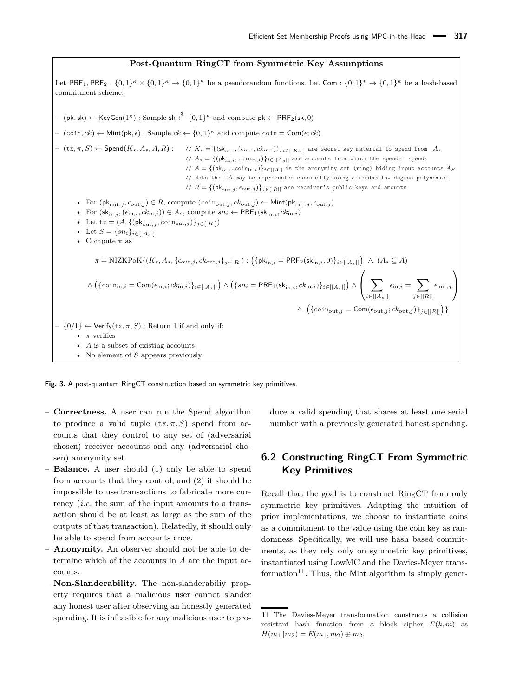#### **Post-Quantum RingCT from Symmetric Key Assumptions**

<span id="page-13-0"></span>Let  $PRF_1, PRF_2: \{0,1\}^{\kappa} \times \{0,1\}^{\kappa} \to \{0,1\}^{\kappa}$  be a pseudorandom functions. Let  $Com: \{0,1\}^{\kappa} \to \{0,1\}^{\kappa}$  be a hash-based commitment scheme. – (pk*,* sk) <sup>←</sup> KeyGen(1*κ*) : Sample sk \$←− {0*,* <sup>1</sup>} *<sup>κ</sup>* and compute pk ← PRF2(sk*,* 0)  $-$  (coin, *ck*) ← Mint(pk,  $\epsilon$ ): Sample *ck* ← {0, 1}<sup>*κ*</sup> and compute coin = Com( $\epsilon$ ; *ck*)  $(- (tx, \pi, S) \leftarrow \mathsf{Spend}(K_s, A_s, A, R)$ : // $K_s = \{(\mathsf{sk}_{\text{in}, i}, (\epsilon_{\text{in}, i}, ck_{\text{in}, i}))\}_{i \in [|K_s|]}$  are secret key material to spend from  $A_s$ //  $A_s = \{(\mathsf{pk}_{\text{in},i}, \text{coin}_{\text{in},i})\}_{i \in [|A_s|]}$  are accounts from which the spender spends //  $A = \{(\mathsf{pk}_{\text{in},i}, \text{coin}_{\text{in},i})\}_{i \in [|A|]}$  is the anonymity set (ring) hiding input accounts  $A_S$ // Note that *A* may be represented succinctly using a random low degree polynomial //  $R = \{(\mathsf{pk}_{\text{out},j}, \epsilon_{\text{out},j})\}_{j \in [|R|]}$  are receiver's public keys and amounts • For  $(\mathsf{pk}_{\text{out},j}, \epsilon_{\text{out},j}) \in R$ , compute  $(\text{coin}_{\text{out},j}, ck_{\text{out},j}) \leftarrow \text{Mint}(\mathsf{pk}_{\text{out},j}, \epsilon_{\text{out},j})$ • For  $(\mathsf{sk}_{\text{in},i}, (\epsilon_{\text{in},i}, ck_{\text{in},i})) \in A_s$ , compute  $sn_i \leftarrow \mathsf{PRF}_1(\mathsf{sk}_{\text{in},i}, ck_{\text{in},i})$ • Let  $tx = (A, \{(\mathsf{pk}_{out,j}, \text{coin}_{out,j})\}_{j \in [|R|]})$ • Let  $S = \{sn_i\}_{i \in [|A_s|]}$ • Compute *π* as  $\pi = \text{NIZKPoK}\{(K_s, A_s, \{\epsilon_{\text{out},j}, ck_{\text{out},j}\}_{j \in [R]}) : \left(\{\text{pk}_{\text{in},i} = \text{PRF}_2(\text{sk}_{\text{in},i}, 0)\}_{i \in [|A_s|]}\right) \ \wedge \ (A_s \subseteq A)$  $\wedge\left(\{\text{coin}_{\text{in},i}=\textsf{Com}(\epsilon_{\text{in},i}; ck_{\text{in},i})\}_{i\in[|A_{s}|]}\right)\wedge\left(\{sn_i=\textsf{PRF}_1(\textsf{sk}_{\text{in},i}, ck_{\text{in},i})\}_{i\in[|A_{s}|]}\right)\wedge$  $\sqrt{ }$  $\left( \right)$ *i*∈[|*As*|]  $\epsilon_{\text{in},i} = \sum$ *j*∈[|*R*|]  $\epsilon_{\text{out},j}$  $\setminus$  $\overline{1}$  $∧$   $({{\text{coin}}_{out,j} = \text{Com}({\epsilon}_{out,j}; ck_{out,j}) }_{j \in [|R|]} )$  $- \{0/1\} \leftarrow$  Verify(tx,  $\pi$ , S) : Return 1 if and only if: • *π* verifies • *A* is a subset of existing accounts • No element of *S* appears previously

**Fig. 3.** A post-quantum RingCT construction based on symmetric key primitives.

- **Correctness.** A user can run the Spend algorithm to produce a valid tuple  $(\text{tx}, \pi, S)$  spend from accounts that they control to any set of (adversarial chosen) receiver accounts and any (adversarial chosen) anonymity set.
- **Balance.** A user should (1) only be able to spend from accounts that they control, and (2) it should be impossible to use transactions to fabricate more currency (*i.e.* the sum of the input amounts to a transaction should be at least as large as the sum of the outputs of that transaction). Relatedly, it should only be able to spend from accounts once.
- **Anonymity.** An observer should not be able to determine which of the accounts in *A* are the input accounts.
- **Non-Slanderability.** The non-slanderabiliy property requires that a malicious user cannot slander any honest user after observing an honestly generated spending. It is infeasible for any malicious user to pro-

duce a valid spending that shares at least one serial number with a previously generated honest spending.

#### **6.2 Constructing RingCT From Symmetric Key Primitives**

Recall that the goal is to construct RingCT from only symmetric key primitives. Adapting the intuition of prior implementations, we choose to instantiate coins as a commitment to the value using the coin key as randomness. Specifically, we will use hash based commitments, as they rely only on symmetric key primitives, instantiated using LowMC and the Davies-Meyer trans-formation<sup>[11](#page-0-0)</sup>. Thus, the Mint algorithm is simply gener-

**<sup>11</sup>** The Davies-Meyer transformation constructs a collision resistant hash function from a block cipher  $E(k, m)$  as  $H(m_1||m_2) = E(m_1, m_2) \oplus m_2.$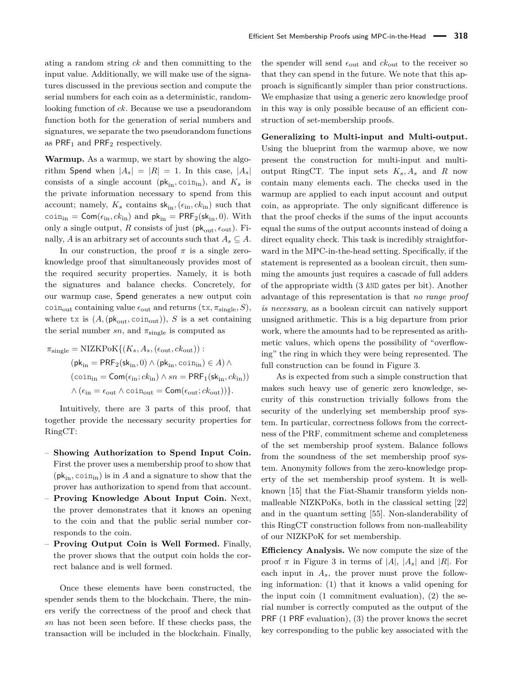ating a random string *ck* and then committing to the input value. Additionally, we will make use of the signatures discussed in the previous section and compute the serial numbers for each coin as a deterministic, randomlooking function of *ck*. Because we use a pseudorandom function both for the generation of serial numbers and signatures, we separate the two pseudorandom functions as  $PRF_1$  and  $PRF_2$  respectively.

**Warmup.** As a warmup, we start by showing the algorithm Spend when  $|A_s| = |R| = 1$ . In this case,  $|A_s|$ consists of a single account  $(\mathsf{pk}_{\text{in}}, \text{coin}_{\text{in}})$ , and  $K_s$  is the private information necessary to spend from this account; namely,  $K_s$  contains  $sk_{in}$ ,  $(\epsilon_{in}, c k_{in})$  such that  $\text{coin}_{\text{in}} = \textsf{Com}(\epsilon_{\text{in}}, ck_{\text{in}})$  and  $\textsf{pk}_{\text{in}} = \textsf{PRF}_2(\textsf{sk}_{\text{in}}, 0)$ . With only a single output, *R* consists of just ( $pk_{out}$ ,  $\epsilon_{out}$ ). Finally, *A* is an arbitrary set of accounts such that  $A_s \subseteq A$ .

In our construction, the proof  $\pi$  is a single zeroknowledge proof that simultaneously provides most of the required security properties. Namely, it is both the signatures and balance checks. Concretely, for our warmup case, Spend generates a new output coin coin<sub>out</sub> containing value  $\epsilon_{\text{out}}$  and returns  $(\text{tx}, \pi_{\text{single}}, S)$ , where tx is  $(A, (\mathsf{pk}_{\text{out}}, \text{coin}_{\text{out}}))$ , *S* is a set containing the serial number  $sn$ , and  $\pi_{single}$  is computed as

$$
\pi_{\text{single}} = \text{NIZKPoK}\{(K_s, A_s, (\epsilon_{\text{out}}, ck_{\text{out}})) :
$$
  
\n
$$
(\mathsf{pk}_{\text{in}} = \mathsf{PRF}_2(\mathsf{sk}_{\text{in}}, 0) \land (\mathsf{pk}_{\text{in}}, \text{coin}_{\text{in}}) \in A) \land
$$
  
\n
$$
(\text{coin}_{\text{in}} = \mathsf{Com}(\epsilon_{\text{in}}; ck_{\text{in}}) \land sn = \mathsf{PRF}_1(\mathsf{sk}_{\text{in}}, ck_{\text{in}}))
$$
  
\n
$$
\land (\epsilon_{\text{in}} = \epsilon_{\text{out}} \land \text{coin}_{\text{out}} = \mathsf{Com}(\epsilon_{\text{out}}; ck_{\text{out}}))\}.
$$

Intuitively, there are 3 parts of this proof, that together provide the necessary security properties for RingCT:

- **Showing Authorization to Spend Input Coin.** First the prover uses a membership proof to show that  $(\mathsf{pk}_{\text{in}}, \text{coin}_{\text{in}})$  is in *A* and a signature to show that the prover has authorization to spend from that account.
- **Proving Knowledge About Input Coin.** Next, the prover demonstrates that it knows an opening to the coin and that the public serial number corresponds to the coin.
- **Proving Output Coin is Well Formed.** Finally, the prover shows that the output coin holds the correct balance and is well formed.

Once these elements have been constructed, the spender sends them to the blockchain. There, the miners verify the correctness of the proof and check that *sn* has not been seen before. If these checks pass, the transaction will be included in the blockchain. Finally,

the spender will send  $\epsilon_{\text{out}}$  and  $ck_{\text{out}}$  to the receiver so that they can spend in the future. We note that this approach is significantly simpler than prior constructions. We emphasize that using a generic zero knowledge proof in this way is only possible because of an efficient construction of set-membership proofs.

#### **Generalizing to Multi-input and Multi-output.**

Using the blueprint from the warmup above, we now present the construction for multi-input and multioutput RingCT. The input sets  $K_s$ ,  $A_s$  and  $R$  now contain many elements each. The checks used in the warmup are applied to each input account and output coin, as appropriate. The only significant difference is that the proof checks if the sums of the input accounts equal the sums of the output accounts instead of doing a direct equality check. This task is incredibly straightforward in the MPC-in-the-head setting. Specifically, if the statement is represented as a boolean circuit, then summing the amounts just requires a cascade of full adders of the appropriate width (3 AND gates per bit). Another advantage of this representation is that *no range proof is necessary*, as a boolean circuit can natively support unsigned arithmetic. This is a big departure from prior work, where the amounts had to be represented as arithmetic values, which opens the possibility of "overflowing" the ring in which they were being represented. The full construction can be found in [Figure 3.](#page-13-0)

As is expected from such a simple construction that makes such heavy use of generic zero knowledge, security of this construction trivially follows from the security of the underlying set membership proof system. In particular, correctness follows from the correctness of the PRF, commitment scheme and completeness of the set membership proof system. Balance follows from the soundness of the set membership proof system. Anonymity follows from the zero-knowledge property of the set membership proof system. It is wellknown [\[15\]](#page-16-2) that the Fiat-Shamir transform yields nonmalleable NIZKPoKs, both in the classical setting [\[22\]](#page-16-22) and in the quantum setting [\[55\]](#page-17-24). Non-slanderability of this RingCT construction follows from non-malleability of our NIZKPoK for set membership.

**Efficiency Analysis.** We now compute the size of the proof  $\pi$  in [Figure 3](#page-13-0) in terms of  $|A|, |A_s|$  and  $|R|$ . For each input in  $A_s$ , the prover must prove the following information: (1) that it knows a valid opening for the input coin (1 commitment evaluation), (2) the serial number is correctly computed as the output of the PRF (1 PRF evaluation), (3) the prover knows the secret key corresponding to the public key associated with the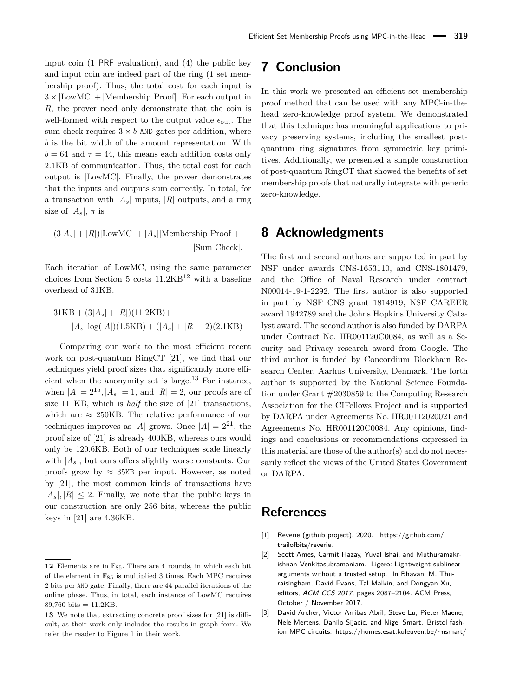input coin (1 PRF evaluation), and (4) the public key and input coin are indeed part of the ring (1 set membership proof). Thus, the total cost for each input is  $3 \times |$ LowMC $| + |$ Membership Proof $|$ . For each output in *R*, the prover need only demonstrate that the coin is well-formed with respect to the output value  $\epsilon_{\text{out}}$ . The sum check requires  $3 \times b$  AND gates per addition, where *b* is the bit width of the amount representation. With  $b = 64$  and  $\tau = 44$ , this means each addition costs only 2*.*1KB of communication. Thus, the total cost for each output is |LowMC|. Finally, the prover demonstrates that the inputs and outputs sum correctly. In total, for a transaction with  $|A_s|$  inputs,  $|R|$  outputs, and a ring size of  $|A_s|$ ,  $\pi$  is

$$
(3|A_s| + |R|)|\text{LowMC}| + |A_s||\text{Membership Proof}| +
$$
  
 
$$
|\text{Sum Check}|.
$$

Each iteration of LowMC, using the same parameter choices from [Section 5](#page-11-0) costs  $11.2KB^{12}$  $11.2KB^{12}$  $11.2KB^{12}$  with a baseline overhead of 31KB.

$$
31KB + (3|A_s| + |R|)(11.2KB) +
$$
  

$$
|A_s| \log(|A|)(1.5KB) + (|A_s| + |R| - 2)(2.1KB)
$$

Comparing our work to the most efficient recent work on post-quantum RingCT [\[21\]](#page-16-3), we find that our techniques yield proof sizes that significantly more effi-cient when the anonymity set is large.<sup>[13](#page-0-0)</sup> For instance, when  $|A| = 2^{15}$ ,  $|A_s| = 1$ , and  $|R| = 2$ , our proofs are of size 111KB*,* which is *half* the size of [\[21\]](#page-16-3) transactions, which are  $\approx 250$ KB. The relative performance of our techniques improves as |A| grows. Once  $|A| = 2^{21}$ , the proof size of [\[21\]](#page-16-3) is already 400KB*,* whereas ours would only be 120*.*6KB. Both of our techniques scale linearly with  $|A_s|$ , but ours offers slightly worse constants. Our proofs grow by  $\approx 35$ KB per input. However, as noted by [\[21\]](#page-16-3), the most common kinds of transactions have  $|A_s|, |R| \leq 2$ . Finally, we note that the public keys in our construction are only 256 bits, whereas the public keys in [\[21\]](#page-16-3) are 4.36KB.

### **7 Conclusion**

In this work we presented an efficient set membership proof method that can be used with any MPC-in-thehead zero-knowledge proof system. We demonstrated that this technique has meaningful applications to privacy preserving systems, including the smallest postquantum ring signatures from symmetric key primitives. Additionally, we presented a simple construction of post-quantum RingCT that showed the benefits of set membership proofs that naturally integrate with generic zero-knowledge.

### **8 Acknowledgments**

The first and second authors are supported in part by NSF under awards CNS-1653110, and CNS-1801479, and the Office of Naval Research under contract N00014-19-1-2292. The first author is also supported in part by NSF CNS grant 1814919, NSF CAREER award 1942789 and the Johns Hopkins University Catalyst award. The second author is also funded by DARPA under Contract No. HR001120C0084, as well as a Security and Privacy research award from Google. The third author is funded by Concordium Blockhain Research Center, Aarhus University, Denmark. The forth author is supported by the National Science Foundation under Grant #2030859 to the Computing Research Association for the CIFellows Project and is supported by DARPA under Agreements No. HR00112020021 and Agreements No. HR001120C0084. Any opinions, findings and conclusions or recommendations expressed in this material are those of the author(s) and do not necessarily reflect the views of the United States Government or DARPA.

### **References**

- <span id="page-15-0"></span>[1] Reverie (github project), 2020. [https://github.com/](https://github.com/trailofbits/reverie) [trailofbits/reverie.](https://github.com/trailofbits/reverie)
- <span id="page-15-1"></span>[2] Scott Ames, Carmit Hazay, Yuval Ishai, and Muthuramakrishnan Venkitasubramaniam. Ligero: Lightweight sublinear arguments without a trusted setup. In Bhavani M. Thuraisingham, David Evans, Tal Malkin, and Dongyan Xu, editors, ACM CCS 2017, pages 2087–2104. ACM Press, October / November 2017.
- <span id="page-15-2"></span>[3] David Archer, Victor Arribas Abril, Steve Lu, Pieter Maene, Nele Mertens, Danilo Sijacic, and Nigel Smart. Bristol fashion MPC circuits. [https://homes.esat.kuleuven.be/~nsmart/](https://homes.esat.kuleuven.be/~nsmart/MPC/)

**<sup>12</sup>** Elements are in  $\mathbb{F}_{85}$ . There are 4 rounds, in which each bit of the element in  $\mathbb{F}_{85}$  is multiplied 3 times. Each MPC requires 2 bits per AND gate. Finally, there are 44 parallel iterations of the online phase. Thus, in total, each instance of LowMC requires 89,760 bits =  $11.2KB$ .

**<sup>13</sup>** We note that extracting concrete proof sizes for [\[21\]](#page-16-3) is difficult, as their work only includes the results in graph form. We refer the reader to Figure 1 in their work.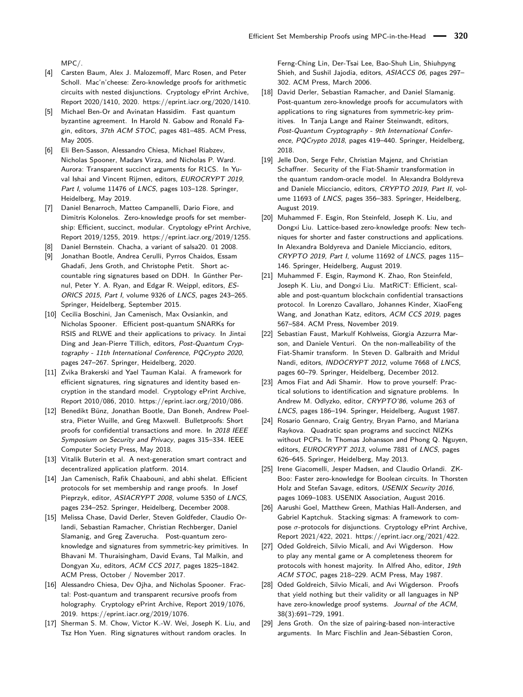[MPC/.](https://homes.esat.kuleuven.be/~nsmart/MPC/)

- <span id="page-16-9"></span>[4] Carsten Baum, Alex J. Malozemoff, Marc Rosen, and Peter Scholl. Mac'n'cheese: Zero-knowledge proofs for arithmetic circuits with nested disjunctions. Cryptology ePrint Archive, Report 2020/1410, 2020. [https://eprint.iacr.org/2020/1410.](https://eprint.iacr.org/2020/1410)
- <span id="page-16-23"></span>[5] Michael Ben-Or and Avinatan Hassidim. Fast quantum byzantine agreement. In Harold N. Gabow and Ronald Fagin, editors, 37th ACM STOC, pages 481–485. ACM Press, May 2005.
- <span id="page-16-15"></span>[6] Eli Ben-Sasson, Alessandro Chiesa, Michael Riabzev, Nicholas Spooner, Madars Virza, and Nicholas P. Ward. Aurora: Transparent succinct arguments for R1CS. In Yuval Ishai and Vincent Rijmen, editors, EUROCRYPT 2019, Part I, volume 11476 of LNCS, pages 103-128. Springer, Heidelberg, May 2019.
- <span id="page-16-8"></span>[7] Daniel Benarroch, Matteo Campanelli, Dario Fiore, and Dimitris Kolonelos. Zero-knowledge proofs for set membership: Efficient, succinct, modular. Cryptology ePrint Archive, Report 2019/1255, 2019. [https://eprint.iacr.org/2019/1255.](https://eprint.iacr.org/2019/1255)
- <span id="page-16-20"></span>[8] Daniel Bernstein. Chacha, a variant of salsa20. 01 2008.
- <span id="page-16-11"></span>[9] Jonathan Bootle, Andrea Cerulli, Pyrros Chaidos, Essam Ghadafi, Jens Groth, and Christophe Petit. Short accountable ring signatures based on DDH. In Günther Pernul, Peter Y. A. Ryan, and Edgar R. Weippl, editors, ES-ORICS 2015, Part I, volume 9326 of LNCS, pages 243–265. Springer, Heidelberg, September 2015.
- <span id="page-16-14"></span>[10] Cecilia Boschini, Jan Camenisch, Max Ovsiankin, and Nicholas Spooner. Efficient post-quantum SNARKs for RSIS and RLWE and their applications to privacy. In Jintai Ding and Jean-Pierre Tillich, editors, Post-Quantum Cryptography - 11th International Conference, PQCrypto 2020, pages 247–267. Springer, Heidelberg, 2020.
- <span id="page-16-12"></span>[11] Zvika Brakerski and Yael Tauman Kalai. A framework for efficient signatures, ring signatures and identity based encryption in the standard model. Cryptology ePrint Archive, Report 2010/086, 2010. [https://eprint.iacr.org/2010/086.](https://eprint.iacr.org/2010/086)
- <span id="page-16-16"></span>[12] Benedikt Bünz, Jonathan Bootle, Dan Boneh, Andrew Poelstra, Pieter Wuille, and Greg Maxwell. Bulletproofs: Short proofs for confidential transactions and more. In 2018 IEEE Symposium on Security and Privacy, pages 315–334. IEEE Computer Society Press, May 2018.
- <span id="page-16-21"></span>[13] Vitalik Buterin et al. A next-generation smart contract and decentralized application platform. 2014.
- <span id="page-16-7"></span>[14] Jan Camenisch, Rafik Chaabouni, and abhi shelat. Efficient protocols for set membership and range proofs. In Josef Pieprzyk, editor, ASIACRYPT 2008, volume 5350 of LNCS, pages 234–252. Springer, Heidelberg, December 2008.
- <span id="page-16-2"></span>[15] Melissa Chase, David Derler, Steven Goldfeder, Claudio Orlandi, Sebastian Ramacher, Christian Rechberger, Daniel Slamanig, and Greg Zaverucha. Post-quantum zeroknowledge and signatures from symmetric-key primitives. In Bhavani M. Thuraisingham, David Evans, Tal Malkin, and Dongyan Xu, editors, ACM CCS 2017, pages 1825–1842. ACM Press, October / November 2017.
- <span id="page-16-17"></span>[16] Alessandro Chiesa, Dev Ojha, and Nicholas Spooner. Fractal: Post-quantum and transparent recursive proofs from holography. Cryptology ePrint Archive, Report 2019/1076, 2019. [https://eprint.iacr.org/2019/1076.](https://eprint.iacr.org/2019/1076)
- <span id="page-16-13"></span>[17] Sherman S. M. Chow, Victor K.-W. Wei, Joseph K. Liu, and Tsz Hon Yuen. Ring signatures without random oracles. In

Ferng-Ching Lin, Der-Tsai Lee, Bao-Shuh Lin, Shiuhpyng Shieh, and Sushil Jajodia, editors, ASIACCS 06, pages 297– 302. ACM Press, March 2006.

- <span id="page-16-5"></span>[18] David Derler, Sebastian Ramacher, and Daniel Slamanig. Post-quantum zero-knowledge proofs for accumulators with applications to ring signatures from symmetric-key primitives. In Tanja Lange and Rainer Steinwandt, editors, Post-Quantum Cryptography - 9th International Conference, PQCrypto 2018, pages 419–440. Springer, Heidelberg, 2018.
- <span id="page-16-25"></span>[19] Jelle Don, Serge Fehr, Christian Maienz, and Christian Schaffner. Security of the Fiat-Shamir transformation in the quantum random-oracle model. In Alexandra Boldyreva and Daniele Micciancio, editors, CRYPTO 2019, Part II, volume 11693 of LNCS, pages 356–383. Springer, Heidelberg, August 2019.
- <span id="page-16-6"></span>[20] Muhammed F. Esgin, Ron Steinfeld, Joseph K. Liu, and Dongxi Liu. Lattice-based zero-knowledge proofs: New techniques for shorter and faster constructions and applications. In Alexandra Boldyreva and Daniele Micciancio, editors, CRYPTO 2019, Part I, volume 11692 of LNCS, pages 115– 146. Springer, Heidelberg, August 2019.
- <span id="page-16-3"></span>[21] Muhammed F. Esgin, Raymond K. Zhao, Ron Steinfeld, Joseph K. Liu, and Dongxi Liu. MatRiCT: Efficient, scalable and post-quantum blockchain confidential transactions protocol. In Lorenzo Cavallaro, Johannes Kinder, XiaoFeng Wang, and Jonathan Katz, editors, ACM CCS 2019, pages 567–584. ACM Press, November 2019.
- <span id="page-16-22"></span>[22] Sebastian Faust, Markulf Kohlweiss, Giorgia Azzurra Marson, and Daniele Venturi. On the non-malleability of the Fiat-Shamir transform. In Steven D. Galbraith and Mridul Nandi, editors, INDOCRYPT 2012, volume 7668 of LNCS, pages 60–79. Springer, Heidelberg, December 2012.
- <span id="page-16-1"></span>[23] Amos Fiat and Adi Shamir. How to prove yourself: Practical solutions to identification and signature problems. In Andrew M. Odlyzko, editor, CRYPTO'86, volume 263 of LNCS, pages 186–194. Springer, Heidelberg, August 1987.
- <span id="page-16-18"></span>[24] Rosario Gennaro, Craig Gentry, Bryan Parno, and Mariana Raykova. Quadratic span programs and succinct NIZKs without PCPs. In Thomas Johansson and Phong Q. Nguyen, editors, EUROCRYPT 2013, volume 7881 of LNCS, pages 626–645. Springer, Heidelberg, May 2013.
- <span id="page-16-4"></span>[25] Irene Giacomelli, Jesper Madsen, and Claudio Orlandi. ZK-Boo: Faster zero-knowledge for Boolean circuits. In Thorsten Holz and Stefan Savage, editors, USENIX Security 2016, pages 1069–1083. USENIX Association, August 2016.
- <span id="page-16-10"></span>[26] Aarushi Goel, Matthew Green, Mathias Hall-Andersen, and Gabriel Kaptchuk. Stacking sigmas: A framework to compose *σ*-protocols for disjunctions. Cryptology ePrint Archive, Report 2021/422, 2021. [https://eprint.iacr.org/2021/422.](https://eprint.iacr.org/2021/422)
- <span id="page-16-24"></span>[27] Oded Goldreich, Silvio Micali, and Avi Wigderson. How to play any mental game or A completeness theorem for protocols with honest majority. In Alfred Aho, editor, 19th ACM STOC, pages 218–229. ACM Press, May 1987.
- <span id="page-16-0"></span>[28] Oded Goldreich, Silvio Micali, and Avi Wigderson. Proofs that yield nothing but their validity or all languages in NP have zero-knowledge proof systems. Journal of the ACM, 38(3):691–729, 1991.
- <span id="page-16-19"></span>[29] Jens Groth. On the size of pairing-based non-interactive arguments. In Marc Fischlin and Jean-Sébastien Coron,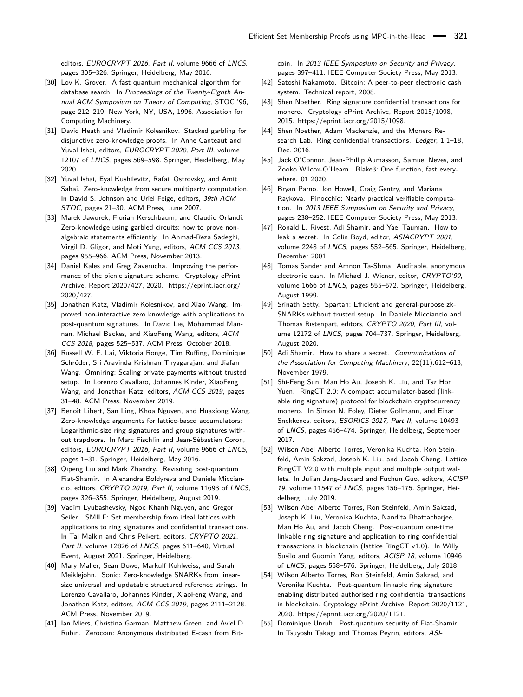editors, EUROCRYPT 2016, Part II, volume 9666 of LNCS, pages 305–326. Springer, Heidelberg, May 2016.

- <span id="page-17-21"></span>[30] Lov K. Grover. A fast quantum mechanical algorithm for database search. In Proceedings of the Twenty-Eighth Annual ACM Symposium on Theory of Computing, STOC '96, page 212–219, New York, NY, USA, 1996. Association for Computing Machinery.
- <span id="page-17-14"></span>[31] David Heath and Vladimir Kolesnikov. Stacked garbling for disjunctive zero-knowledge proofs. In Anne Canteaut and Yuval Ishai, editors, EUROCRYPT 2020, Part III, volume 12107 of LNCS, pages 569–598. Springer, Heidelberg, May 2020.
- <span id="page-17-3"></span>[32] Yuval Ishai, Eyal Kushilevitz, Rafail Ostrovsky, and Amit Sahai. Zero-knowledge from secure multiparty computation. In David S. Johnson and Uriel Feige, editors, 39th ACM STOC, pages 21–30. ACM Press, June 2007.
- <span id="page-17-15"></span>[33] Marek Jawurek, Florian Kerschbaum, and Claudio Orlandi. Zero-knowledge using garbled circuits: how to prove nonalgebraic statements efficiently. In Ahmad-Reza Sadeghi, Virgil D. Gligor, and Moti Yung, editors, ACM CCS 2013, pages 955–966. ACM Press, November 2013.
- <span id="page-17-7"></span>[34] Daniel Kales and Greg Zaverucha. Improving the performance of the picnic signature scheme. Cryptology ePrint Archive, Report 2020/427, 2020. [https://eprint.iacr.org/](https://eprint.iacr.org/2020/427) [2020/427.](https://eprint.iacr.org/2020/427)
- <span id="page-17-4"></span>[35] Jonathan Katz, Vladimir Kolesnikov, and Xiao Wang. Improved non-interactive zero knowledge with applications to post-quantum signatures. In David Lie, Mohammad Mannan, Michael Backes, and XiaoFeng Wang, editors, ACM CCS 2018, pages 525–537. ACM Press, October 2018.
- <span id="page-17-23"></span>[36] Russell W. F. Lai, Viktoria Ronge, Tim Ruffing, Dominique Schröder, Sri Aravinda Krishnan Thyagarajan, and Jiafan Wang. Omniring: Scaling private payments without trusted setup. In Lorenzo Cavallaro, Johannes Kinder, XiaoFeng Wang, and Jonathan Katz, editors, ACM CCS 2019, pages 31–48. ACM Press, November 2019.
- <span id="page-17-8"></span>[37] Benoît Libert, San Ling, Khoa Nguyen, and Huaxiong Wang. Zero-knowledge arguments for lattice-based accumulators: Logarithmic-size ring signatures and group signatures without trapdoors. In Marc Fischlin and Jean-Sébastien Coron, editors, EUROCRYPT 2016, Part II, volume 9666 of LNCS, pages 1–31. Springer, Heidelberg, May 2016.
- <span id="page-17-25"></span>[38] Qipeng Liu and Mark Zhandry. Revisiting post-quantum Fiat-Shamir. In Alexandra Boldyreva and Daniele Micciancio, editors, CRYPTO 2019, Part II, volume 11693 of LNCS, pages 326–355. Springer, Heidelberg, August 2019.
- <span id="page-17-10"></span>[39] Vadim Lyubashevsky, Ngoc Khanh Nguyen, and Gregor Seiler. SMILE: Set membership from ideal lattices with applications to ring signatures and confidential transactions. In Tal Malkin and Chris Peikert, editors, CRYPTO 2021, Part II, volume 12826 of LNCS, pages 611-640, Virtual Event, August 2021. Springer, Heidelberg.
- <span id="page-17-16"></span>[40] Mary Maller, Sean Bowe, Markulf Kohlweiss, and Sarah Meiklejohn. Sonic: Zero-knowledge SNARKs from linearsize universal and updatable structured reference strings. In Lorenzo Cavallaro, Johannes Kinder, XiaoFeng Wang, and Jonathan Katz, editors, ACM CCS 2019, pages 2111–2128. ACM Press, November 2019.
- <span id="page-17-2"></span>[41] Ian Miers, Christina Garman, Matthew Green, and Aviel D. Rubin. Zerocoin: Anonymous distributed E-cash from Bit-

coin. In 2013 IEEE Symposium on Security and Privacy, pages 397–411. IEEE Computer Society Press, May 2013.

- <span id="page-17-22"></span>[42] Satoshi Nakamoto. Bitcoin: A peer-to-peer electronic cash system. Technical report, 2008.
- <span id="page-17-1"></span>[43] Shen Noether. Ring signature confidential transactions for monero. Cryptology ePrint Archive, Report 2015/1098, 2015. [https://eprint.iacr.org/2015/1098.](https://eprint.iacr.org/2015/1098)
- <span id="page-17-11"></span>[44] Shen Noether, Adam Mackenzie, and the Monero Research Lab. Ring confidential transactions. Ledger, 1:1-18, Dec. 2016.
- <span id="page-17-20"></span>[45] Jack O'Connor, Jean-Phillip Aumasson, Samuel Neves, and Zooko Wilcox-O'Hearn. Blake3: One function, fast everywhere. 01 2020.
- <span id="page-17-18"></span>[46] Bryan Parno, Jon Howell, Craig Gentry, and Mariana Raykova. Pinocchio: Nearly practical verifiable computation. In 2013 IEEE Symposium on Security and Privacy, pages 238–252. IEEE Computer Society Press, May 2013.
- <span id="page-17-0"></span>[47] Ronald L. Rivest, Adi Shamir, and Yael Tauman. How to leak a secret. In Colin Boyd, editor, ASIACRYPT 2001, volume 2248 of LNCS, pages 552–565. Springer, Heidelberg, December 2001.
- <span id="page-17-13"></span>[48] Tomas Sander and Amnon Ta-Shma. Auditable, anonymous electronic cash. In Michael J. Wiener, editor, CRYPTO'99, volume 1666 of LNCS, pages 555–572. Springer, Heidelberg, August 1999.
- <span id="page-17-17"></span>[49] Srinath Setty. Spartan: Efficient and general-purpose zk-SNARKs without trusted setup. In Daniele Micciancio and Thomas Ristenpart, editors, CRYPTO 2020, Part III, volume 12172 of LNCS, pages 704–737. Springer, Heidelberg, August 2020.
- <span id="page-17-19"></span>[50] Adi Shamir. How to share a secret. Communications of the Association for Computing Machinery, 22(11):612–613, November 1979.
- <span id="page-17-12"></span>[51] Shi-Feng Sun, Man Ho Au, Joseph K. Liu, and Tsz Hon Yuen. RingCT 2.0: A compact accumulator-based (linkable ring signature) protocol for blockchain cryptocurrency monero. In Simon N. Foley, Dieter Gollmann, and Einar Snekkenes, editors, ESORICS 2017, Part II, volume 10493 of LNCS, pages 456–474. Springer, Heidelberg, September 2017.
- <span id="page-17-5"></span>[52] Wilson Abel Alberto Torres, Veronika Kuchta, Ron Steinfeld, Amin Sakzad, Joseph K. Liu, and Jacob Cheng. Lattice RingCT V2.0 with multiple input and multiple output wallets. In Julian Jang-Jaccard and Fuchun Guo, editors, ACISP 19, volume 11547 of LNCS, pages 156–175. Springer, Heidelberg, July 2019.
- <span id="page-17-9"></span>[53] Wilson Abel Alberto Torres, Ron Steinfeld, Amin Sakzad, Joseph K. Liu, Veronika Kuchta, Nandita Bhattacharjee, Man Ho Au, and Jacob Cheng. Post-quantum one-time linkable ring signature and application to ring confidential transactions in blockchain (lattice RingCT v1.0). In Willy Susilo and Guomin Yang, editors, ACISP 18, volume 10946 of LNCS, pages 558–576. Springer, Heidelberg, July 2018.
- <span id="page-17-6"></span>[54] Wilson Alberto Torres, Ron Steinfeld, Amin Sakzad, and Veronika Kuchta. Post-quantum linkable ring signature enabling distributed authorised ring confidential transactions in blockchain. Cryptology ePrint Archive, Report 2020/1121, 2020. [https://eprint.iacr.org/2020/1121.](https://eprint.iacr.org/2020/1121)
- <span id="page-17-24"></span>[55] Dominique Unruh. Post-quantum security of Fiat-Shamir. In Tsuyoshi Takagi and Thomas Peyrin, editors, ASI-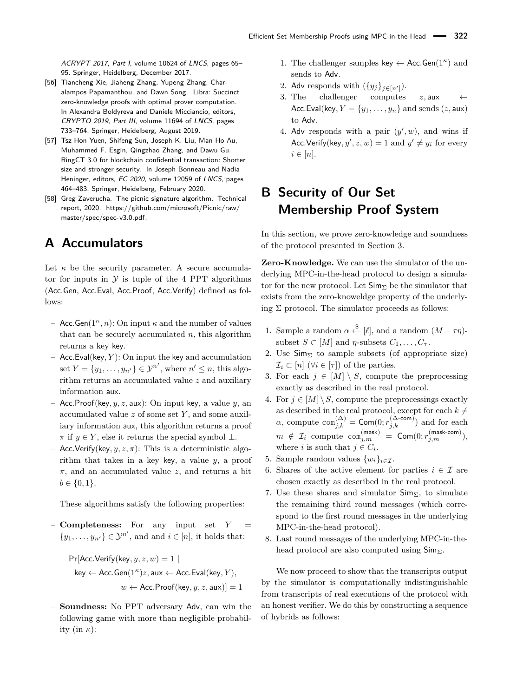ACRYPT 2017, Part I, volume 10624 of LNCS, pages 65– 95. Springer, Heidelberg, December 2017.

- <span id="page-18-1"></span>[56] Tiancheng Xie, Jiaheng Zhang, Yupeng Zhang, Charalampos Papamanthou, and Dawn Song. Libra: Succinct zero-knowledge proofs with optimal prover computation. In Alexandra Boldyreva and Daniele Micciancio, editors, CRYPTO 2019, Part III, volume 11694 of LNCS, pages 733–764. Springer, Heidelberg, August 2019.
- <span id="page-18-0"></span>[57] Tsz Hon Yuen, Shifeng Sun, Joseph K. Liu, Man Ho Au, Muhammed F. Esgin, Qingzhao Zhang, and Dawu Gu. RingCT 3.0 for blockchain confidential transaction: Shorter size and stronger security. In Joseph Bonneau and Nadia Heninger, editors, FC 2020, volume 12059 of LNCS, pages 464–483. Springer, Heidelberg, February 2020.
- <span id="page-18-4"></span>[58] Greg Zaverucha. The picnic signature algorithm. Technical report, 2020. [https://github.com/microsoft/Picnic/raw/](https://github.com/microsoft/Picnic/raw/master/spec/spec-v3.0.pdf) [master/spec/spec-v3.0.pdf.](https://github.com/microsoft/Picnic/raw/master/spec/spec-v3.0.pdf)

## <span id="page-18-2"></span>**A Accumulators**

Let  $\kappa$  be the security parameter. A secure accumulator for inputs in  $Y$  is tuple of the 4 PPT algorithms (Acc*.*Gen, Acc*.*Eval, Acc*.*Proof*,* Acc*.*Verify) defined as follows:

- Acc*.*Gen(1*κ, n*): On input *κ* and the number of values that can be securely accumulated *n*, this algorithm returns a key key.
- Acc*.*Eval(key*, Y* ): On input the key and accumulation set  $Y = \{y_1, \ldots, y_{n'}\} \in \mathcal{Y}^{n'}$ , where  $n' \leq n$ , this algorithm returns an accumulated value *z* and auxiliary information aux.
- Acc*.*Proof(key*, y, z,* aux): On input key, a value *y*, an accumulated value *z* of some set *Y* , and some auxiliary information aux, this algorithm returns a proof  $\pi$  if  $y \in Y$ , else it returns the special symbol  $\perp$ .
- $-$  Acc. Verify(key,  $y, z, \pi$ ): This is a deterministic algorithm that takes in a key key, a value *y*, a proof *π*, and an accumulated value *z*, and returns a bit  $b \in \{0, 1\}.$

These algorithms satisfy the following properties:

 $\sim$  **Completeness:** For any input set  $Y =$  $\{y_1, \ldots, y_{n'}\} \in \mathcal{Y}^{n'}$ , and and  $i \in [n]$ , it holds that:

$$
\begin{aligned} \Pr[\mathsf{Acc}.\mathsf{Verify}(\mathsf{key}, y, z, w) = 1 \mid \\ \mathsf{key} \leftarrow \mathsf{Acc}.\mathsf{Gen}(1^\kappa)z, \mathsf{aux} \leftarrow \mathsf{Acc}.\mathsf{Eval}(\mathsf{key}, Y), \\ w &\leftarrow \mathsf{Acc}.\mathsf{Proof}(\mathsf{key}, y, z, \mathsf{aux})] = 1 \end{aligned}
$$

– **Soundness:** No PPT adversary Adv, can win the following game with more than negligible probability (in  $\kappa$ ):

- 1. The challenger samples key  $\leftarrow$  Acc. Gen(1<sup> $\kappa$ </sup>) and sends to Adv.
- 2. Adv responds with  $({y_j}_{j\in[n']})$ .
- 3. The challenger computes  $z$ , aux ← Acc. Eval(key,  $Y = \{y_1, \ldots, y_n\}$  and sends  $(z, \text{aux})$ to Adv.
- 4. Adv responds with a pair  $(y', w)$ , and wins if Acc. Verify(key,  $y'$ ,  $z$ ,  $w$ ) = 1 and  $y' \neq y_i$  for every  $i \in [n]$ .

# <span id="page-18-3"></span>**B Security of Our Set Membership Proof System**

In this section, we prove zero-knowledge and soundness of the protocol presented in Section [3.](#page-6-0)

**Zero-Knowledge.** We can use the simulator of the underlying MPC-in-the-head protocol to design a simulator for the new protocol. Let  $\mathsf{Sim}_{\Sigma}$  be the simulator that exists from the zero-knoweldge property of the underlying  $\Sigma$  protocol. The simulator proceeds as follows:

- 1. Sample a random  $\alpha \stackrel{\$}{\leftarrow} [\ell]$ , and a random  $(M \tau \eta)$ subset  $S \subset [M]$  and *η*-subsets  $C_1, \ldots, C_{\tau}$ .
- 2. Use  $\textsf{Sim}_{\Sigma}$  to sample subsets (of appropriate size)  $\mathcal{I}_i \subset [n]$  ( $\forall i \in [\tau]$ ) of the parties.
- 3. For each  $j \in [M] \setminus S$ , compute the preprocessing exactly as described in the real protocol.
- 4. For  $j \in [M] \setminus S$ , compute the preprocessings exactly as described in the real protocol, except for each  $k \neq$  $\alpha$ , compute  $\text{com}_{j,k}^{(\Delta)} = \text{Com}(0; r_{j,k}^{(\Delta\text{-com})})$  and for each  $m \notin \mathcal{I}_i \text{ compute } \textsf{com}_{j,m}^{(\textsf{mask})} \ = \ \mathsf{Com}(0;r_{j,m}^{(\textsf{mask-com})}),$ where *i* is such that  $j \in C_i$ .
- 5. Sample random values  $\{w_i\}_{i \in \mathcal{I}}$ .
- 6. Shares of the active element for parties  $i \in \mathcal{I}$  are chosen exactly as described in the real protocol.
- 7. Use these shares and simulator  $\mathsf{Sim}_{\Sigma}$ , to simulate the remaining third round messages (which correspond to the first round messages in the underlying MPC-in-the-head protocol).
- 8. Last round messages of the underlying MPC-in-thehead protocol are also computed using  $\mathsf{Sim}_{\Sigma}$ .

We now proceed to show that the transcripts output by the simulator is computationally indistinguishable from transcripts of real executions of the protocol with an honest verifier. We do this by constructing a sequence of hybrids as follows: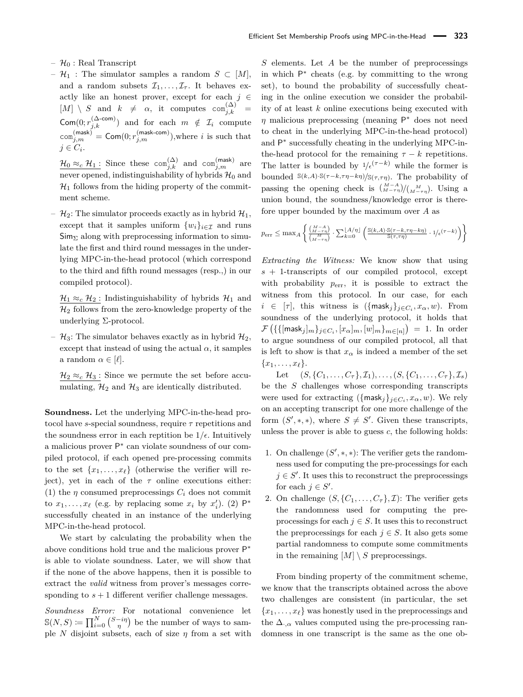- $\mathcal{H}_0$ : Real Transcript
- $-$  H<sub>1</sub> : The simulator samples a random *S* ⊂ [M], and a random subsets  $\mathcal{I}_1, \ldots, \mathcal{I}_{\tau}$ . It behaves exactly like an honest prover, except for each  $j \in$  $[M] \setminus S$  and  $k \neq \alpha$ , it computes  $\text{com}_{j,k}^{(\Delta)} =$  $\mathsf{Com}(0; r_{j,k}^{(\Delta\text{-com})})$  and for each  $m \notin \mathcal{I}_i$  compute  $\text{com}_{j,m}^{(\text{mask})} = \text{Com}(0; r_{j,m}^{(\text{mask-com})}),$  where *i* is such that  $j \in C_i$ .

 $\frac{\mathcal{H}_0 \approx_c \mathcal{H}_1 \colon}{\text{Since these}}$  com $_{j,k}^{(\Delta)}$  and com $_{j,m}^{(\text{mask})}$  are never opened, indistinguishability of hybrids  $\mathcal{H}_0$  and  $\mathcal{H}_1$  follows from the hiding property of the commitment scheme.

 $- \mathcal{H}_2$ : The simulator proceeds exactly as in hybrid  $\mathcal{H}_1$ , except that it samples uniform  $\{w_i\}_{i \in \mathcal{I}}$  and runs  $\mathsf{Sim}_{\Sigma}$  along with preprocessing information to simulate the first and third round messages in the underlying MPC-in-the-head protocol (which correspond to the third and fifth round messages (resp.,) in our compiled protocol).

 $\mathcal{H}_1 \approx_c \mathcal{H}_2$ : Indistinguishability of hybrids  $\mathcal{H}_1$  and  $\mathcal{H}_2$  follows from the zero-knowledge property of the underlying Σ-protocol.

–  $\mathcal{H}_3$ : The simulator behaves exactly as in hybrid  $\mathcal{H}_2$ , except that instead of using the actual  $\alpha$ , it samples a random  $\alpha \in [\ell]$ .

 $\mathcal{H}_2 \approx_c \mathcal{H}_3$ : Since we permute the set before accumulating,  $\mathcal{H}_2$  and  $\mathcal{H}_3$  are identically distributed.

**Soundness.** Let the underlying MPC-in-the-head protocol have *s*-special soundness, require *τ* repetitions and the soundness error in each reptition be  $1/\epsilon$ . Intuitively a malicious prover P<sup>∗</sup> can violate soundness of our compiled protocol, if each opened pre-processing commits to the set  $\{x_1, \ldots, x_\ell\}$  (otherwise the verifier will reject), yet in each of the  $\tau$  online executions either: (1) the  $\eta$  consumed preprocessings  $C_i$  does not commit to  $x_1, \ldots, x_\ell$  (e.g. by replacing some  $x_i$  by  $x'_i$ ). (2)  $\mathsf{P}^*$ successfully cheated in an instance of the underlying MPC-in-the-head protocol.

We start by calculating the probability when the above conditions hold true and the malicious prover P<sup>∗</sup> is able to violate soundness. Later, we will show that if the none of the above happens, then it is possible to extract the *valid* witness from prover's messages corresponding to  $s + 1$  different verifier challenge messages.

*Soundness Error:* For notational convenience let  $\mathbb{S}(N, S) \coloneqq \prod_{i=0}^{N} {S - i\eta \choose \eta}$  be the number of ways to sample *N* disjoint subsets, each of size *η* from a set with

*S* elements. Let *A* be the number of preprocessings in which P ∗ cheats (e.g. by committing to the wrong set), to bound the probability of successfully cheating in the online execution we consider the probability of at least *k* online executions being executed with  $\eta$  malicious preprocessing (meaning  $P^*$  does not need to cheat in the underlying MPC-in-the-head protocol) and P ∗ successfully cheating in the underlying MPC-inthe-head protocol for the remaining  $\tau - k$  repetitions. The latter is bounded by  $1/\epsilon^{(\tau-k)}$  while the former is bounded  $\mathcal{S}(k,A)\cdot\mathcal{S}(\tau-k,\tau\eta-k\eta)/\mathcal{S}(\tau,\tau\eta)$ . The probability of passing the opening check is  $\binom{M-A}{M-\tau\eta}/\binom{M}{M-\tau\eta}$ . Using a union bound, the soundness/knowledge error is therefore upper bounded by the maximum over *A* as

$$
p_{\text{err}} \le \max_A \left\{ \frac{\binom{M-A}{M-\tau\eta}}{\binom{M}{M-\tau\eta}} \cdot \frac{\sum\limits_{k=0}^{\lfloor A/\eta \rfloor} \left( \frac{\mathbb{S}(k,A) \cdot \mathbb{S}(\tau-k,\tau\eta-k\eta)}{\mathbb{S}(\tau,\tau\eta)} \cdot 1/\epsilon^{(\tau-k)} \right) \right\}
$$

*Extracting the Witness:* We know show that using *s* + 1-transcripts of our compiled protocol, except with probability  $p_{\text{err}}$ , it is possible to extract the witness from this protocol. In our case, for each  $i \in [\tau]$ , this witness is  $(\{\text{mask}_j\}_{j \in C_i}, x_\alpha, w)$ . From soundness of the underlying protocol, it holds that  $\mathcal{F}\left(\{\{[\mathsf{mask}_j]_m\}_{j\in C_i}, [x_\alpha]_m, [w]_m\}_{m\in [n]}\right) \ = \ 1.$  In order to argue soundness of our compiled protocol, all that is left to show is that  $x_{\alpha}$  is indeed a member of the set  ${x_1, \ldots, x_\ell}.$ 

Let  $(S, \{C_1, \ldots, C_{\tau}\}, \mathcal{I}_1), \ldots, (S, \{C_1, \ldots, C_{\tau}\}, \mathcal{I}_s)$ be the *S* challenges whose corresponding transcripts were used for extracting  $(\{\text{mask}_j\}_{j \in C_i}, x_\alpha, w)$ . We rely on an accepting transcript for one more challenge of the form  $(S',*,*)$ , where  $S \neq S'$ . Given these transcripts, unless the prover is able to guess *c*, the following holds:

- 1. On challenge  $(S',*,*)$ : The verifier gets the randomness used for computing the pre-processings for each  $j \in S'$ . It uses this to reconstruct the preprocessings for each  $j \in S'$ .
- 2. On challenge  $(S, \{C_1, \ldots, C_{\tau}\}, \mathcal{I})$ : The verifier gets the randomness used for computing the preprocessings for each  $j \in S$ . It uses this to reconstruct the preprocessings for each  $j \in S$ . It also gets some partial randomness to compute some commitments in the remaining  $[M] \setminus S$  preprocessings.

From binding property of the commitment scheme, we know that the transcripts obtained across the above two challenges are consistent (in particular, the set  ${x_1, \ldots, x_\ell}$  was honestly used in the preprocessings and the  $\Delta_{\cdot,\alpha}$  values computed using the pre-processing randomness in one transcript is the same as the one ob-